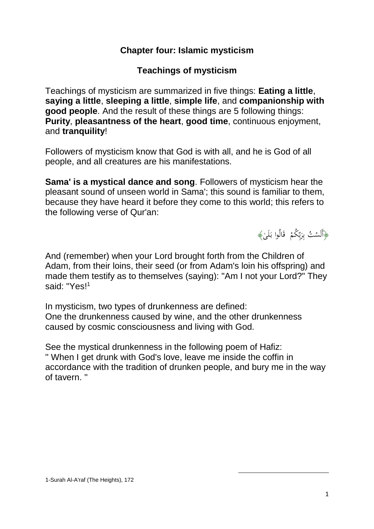## **Chapter four: Islamic mysticism**

## **Teachings of mysticism**

Teachings of mysticism are summarized in five things: **Eating a little**, **saying a little**, **sleeping a little**, **simple life**, and **companionship with good people**. And the result of these things are 5 following things: **Purity**, **pleasantness of the heart**, **good time**, continuous enjoyment, and **tranquility**!

Followers of mysticism know that God is with all, and he is God of all people, and all creatures are his manifestations.

**Sama' is a mystical dance and song**. Followers of mysticism hear the pleasant sound of unseen world in Sama'; this sound is familiar to them, because they have heard it before they come to this world; this refers to the following verse of Qur'an:

﴿أَلَسْتُ بِرَبِّكُمْ ۖ قَالُوا بَلَىٰ﴾ بِ َ ِ<br>بہ  $\overline{a}$ ا<br>ا

And (remember) when your Lord brought forth from the Children of Adam, from their loins, their seed (or from Adam's loin his offspring) and made them testify as to themselves (saying): "Am I not your Lord?" They said: "Yes!<sup>1</sup>

In mysticism, two types of drunkenness are defined: One the drunkenness caused by wine, and the other drunkenness caused by cosmic consciousness and living with God.

See the mystical drunkenness in the following poem of Hafiz: '' When I get drunk with God's love, leave me inside the coffin in accordance with the tradition of drunken people, and bury me in the way of tavern. ''

1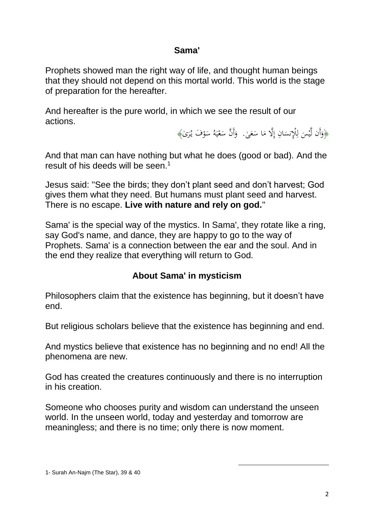## **Sama'**

Prophets showed man the right way of life, and thought human beings that they should not depend on this mortal world. This world is the stage of preparation for the hereafter.

And hereafter is the pure world, in which we see the result of our actions.

> ﴿وَأَن لَّيْسَ لِلْإِنسَانِ إِلَّا مَا سَعَىٰ. ۚ وَأَنَّ سَعْيَهُ سَوْفَ يُرَىٰ﴾  $\overline{a}$  $\overline{\phantom{a}}$ إ  $\ddot{\phantom{0}}$ ِ ل .<br>-ي َ ر<br>. ْ  $\overline{a}$ ا<br>ا ي ْ  $\ddot{\phantom{0}}$ َ

And that man can have nothing but what he does (good or bad). And the result of his deeds will be seen.<sup>1</sup>

Jesus said: ''See the birds; they don't plant seed and don't harvest; God gives them what they need. But humans must plant seed and harvest. There is no escape. **Live with nature and rely on god.**''

Sama' is the special way of the mystics. In Sama', they rotate like a ring, say God's name, and dance, they are happy to go to the way of Prophets. Sama' is a connection between the ear and the soul. And in the end they realize that everything will return to God.

# **About Sama' in mysticism**

Philosophers claim that the existence has beginning, but it doesn't have end.

But religious scholars believe that the existence has beginning and end.

And mystics believe that existence has no beginning and no end! All the phenomena are new.

God has created the creatures continuously and there is no interruption in his creation.

Someone who chooses purity and wisdom can understand the unseen world. In the unseen world, today and yesterday and tomorrow are meaningless; and there is no time; only there is now moment.

1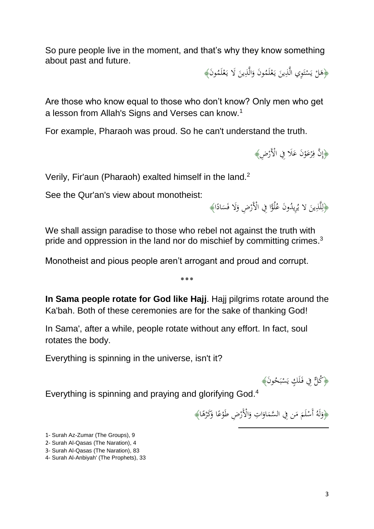So pure people live in the moment, and that's why they know something about past and future.

> ﴿هَلْ يَسْتَوِي الَّذِينَ يَعْلَمُونَ وَالَّذِينَ لَا يَعْلَمُونَ﴾ ْ ب<br>: َ َ ْ ب<br>: أُمُّ ت ْ ي  $\zeta$

Are those who know equal to those who don't know? Only men who get a lesson from Allah's Signs and Verses can know.<sup>1</sup>

For example, Pharaoh was proud. So he can't understand the truth.

﴿إِنَّ فِرْعَوْنَ عَلَا فِي الْأَرْضِ﴾ ر<br>د ،<br>' .<br>.<br>. ِ<br>فرا

<sup>2</sup> Verily, Fir'aun (Pharaoh) exalted himself in the land.

See the Qur'an's view about monotheist:

﴿لِلَّذِينَ لا يُرِيدُونَ عُلُوًّا فِي الْأَرْضِ وَلَا فَسَادًا﴾ ِ<br>ا ا  $\ddot{\phantom{0}}$ َ .<br>.<br>.

We shall assign paradise to those who rebel not against the truth with pride and oppression in the land nor do mischief by committing crimes.<sup>3</sup>

Monotheist and pious people aren't arrogant and proud and corrupt.

**In Sama people rotate for God like Hajj.** Hajj pilgrims rotate around the Ka'bah. Both of these ceremonies are for the sake of thanking God!

٭٭٭

In Sama', after a while, people rotate without any effort. In fact, soul rotates the body.

Everything is spinning in the universe, isn't it?

ُ أَوْ كُلُّ فِي فَلَكٍ يَسْبَحُونَ﴾ <u>:</u> ب ْ

Everything is spinning and praying and glorifying God.<sup>4</sup>

﴿وَلَهُ أَسْلَمَ مَن فِي السَّمَاوَاتِ وَالْأَرْضِ طَوْعًا وَكَرْهًا﴾ <u>ّز</u> َ د<br>ا ،<br>' .<br>.<br>. َ ا َ  $\overline{\phantom{a}}$  $\overline{\phantom{a}}$ ا **ـ** َ

 $\overline{a}$ 

<sup>1-</sup> Surah Az-Zumar (The Groups), 9

<sup>2-</sup> Surah Al-Qasas (The Naration), 4

<sup>3-</sup> Surah Al-Qasas (The Naration), 83

<sup>4-</sup> Surah Al-Anbiyah' (The Prophets), 33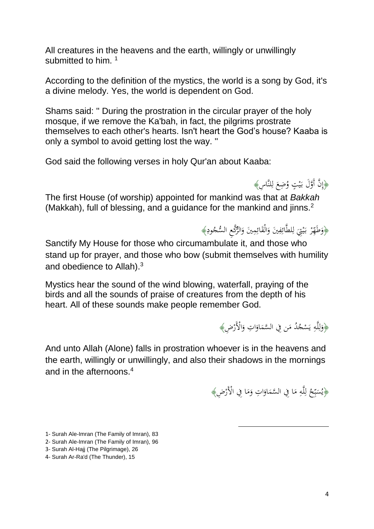All creatures in the heavens and the earth, willingly or unwillingly submitted to him.<sup>1</sup>

According to the definition of the mystics, the world is a song by God, it's a divine melody. Yes, the world is dependent on God.

Shams said: '' During the prostration in the circular prayer of the holy mosque, if we remove the Ka'bah, in fact, the pilgrims prostrate themselves to each other's hearts. Isn't heart the God's house? Kaaba is only a symbol to avoid getting lost the way. ''

God said the following verses in holy Qur'an about Kaaba:

﴿إِنَّ أَوَّلَ بَيْتٍ وُضِعَ لِلنَّاسِ﴾ ِ ل  $\zeta$ **:** ي بہ<br>:

The first House (of worship) appointed for mankind was that at *Bakkah*  (Makkah), full of blessing, and a guidance for the mankind and jinns.<sup>2</sup>

> ﴿وَطَهِّرْ بَيْتِيَ لِلطَّائِفِينَ وَالْقَائِمِينَ وَالرَّكَعِ السُّجُودِ﴾ <u>ِ</u> َ ِ<br>ئ .<br>ع َ ِ ِ<br>ئا ِ ل َ **ٔ** ي بہ<br>: ر<br>ا َ

Sanctify My House for those who circumambulate it, and those who stand up for prayer, and those who bow (submit themselves with humility and obedience to Allah). $3$ 

Mystics hear the sound of the wind blowing, waterfall, praying of the birds and all the sounds of praise of creatures from the depth of his heart. All of these sounds make people remember God.

﴿وَلِلَّهِ يَسْجُدُ مَن فِي السَّمَاوَاتِ وَالْأَرْضِ﴾ َ ا َ  $\overline{\phantom{a}}$  $\overline{\phantom{a}}$ ي ِ ڶ ل َ

And unto Allah (Alone) falls in prostration whoever is in the heavens and the earth, willingly or unwillingly, and also their shadows in the mornings and in the afternoons  $4$ 

> ﴿يُسَبِّحُ لِلَّهِ مَا فِي السَّمَاوَاتِ وَمَا فِي الْأَرْضِ﴾ َ َ ا َ  $\overline{\phantom{a}}$  $\overline{\phantom{a}}$ ِ ڵ ل ِ ب  $\ddot{\phantom{0}}$

> > 1

- 1- Surah Ale-Imran (The Family of Imran), 83
- 2- Surah Ale-Imran (The Family of Imran), 96
- 3- Surah Al-Hajj (The Pilgrimage), 26
- 4- Surah Ar-Ra'd (The Thunder), 15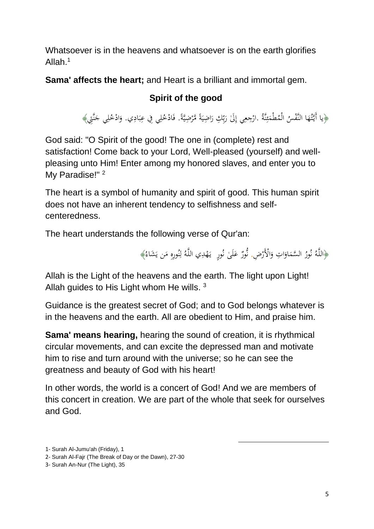Whatsoever is in the heavens and whatsoever is on the earth glorifies Allah $1$ 

**Sama' affects the heart;** and Heart is a brilliant and immortal gem.

# **Spirit of the good**

﴿يا أَيَّتُهَا النَّفْسُ الْمُطْمَئِنَّةُ .ارْجِعِي إِلَىٰ رَبِّكِ رَاضِيَةً مَّرْضِيَّةً. فَادْخُلِي فِي عِبَادِي. وَادْخُلِي جَنَّتِي﴾ ِ:<br>شا ئي<br>مئي  $\overline{\phantom{a}}$ َ ة<br>أ ر<br>.  $\ddot{\phantom{0}}$ ا َ ب<br>بِ َ ِ ِ ؚ<br>با **∶**  $\ddot{\cdot}$ َ ِ َ

God said: "O Spirit of the good! The one in (complete) rest and satisfaction! Come back to your Lord, Well-pleased (yourself) and wellpleasing unto Him! Enter among my honored slaves, and enter you to My Paradise!"<sup>2</sup>

The heart is a symbol of humanity and spirit of good. This human spirit does not have an inherent tendency to selfishness and selfcenteredness.

The heart understands the following verse of Qur'an:

﴿اللَّهُ نُورُ السَّمَاوَاتِ وَالْأَرْضِ. نُّورٌ عَلَىٰ نُورٍ ۖ يَهْدِي اللَّهُ لِنُورِهِ مَن يَشَاءُ﴾ َ ا َ  $\overline{\phantom{a}}$ بر<br>ن بر<br>ز  $\overline{a}$ ر<br>گ بة<br>ف َ ن <u>ل</u> ل ب<br>:

1

Allah is the Light of the heavens and the earth. The light upon Light! Allah guides to His Light whom He wills.<sup>3</sup>

Guidance is the greatest secret of God; and to God belongs whatever is in the heavens and the earth. All are obedient to Him, and praise him.

**Sama' means hearing,** hearing the sound of creation, it is rhythmical circular movements, and can excite the depressed man and motivate him to rise and turn around with the universe; so he can see the greatness and beauty of God with his heart!

In other words, the world is a concert of God! And we are members of this concert in creation. We are part of the whole that seek for ourselves and God.

<sup>1-</sup> Surah Al-Jumu'ah (Friday), 1

<sup>2-</sup> Surah Al-Fajr (The Break of Day or the Dawn), 27-30

<sup>3-</sup> Surah An-Nur (The Light), 35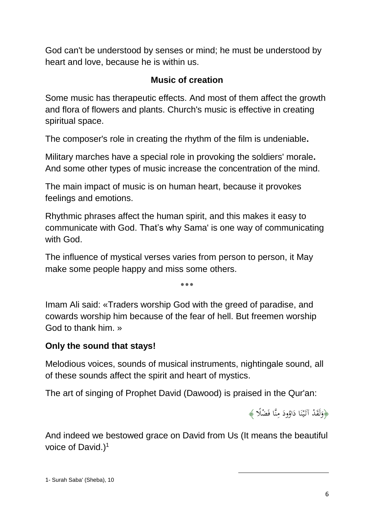God can't be understood by senses or mind; he must be understood by heart and love, because he is within us.

# **Music of creation**

Some music has therapeutic effects. And most of them affect the growth and flora of flowers and plants. Church's music is effective in creating spiritual space.

The composer's role in creating the rhythm of the film is undeniable**.**

Military marches have a special role in provoking the soldiers' morale**.**  And some other types of music increase the concentration of the mind.

The main impact of music is on human heart, because it provokes feelings and emotions.

Rhythmic phrases affect the human spirit, and this makes it easy to communicate with God. That's why Sama' is one way of communicating with God.

The influence of mystical verses varies from person to person, it May make some people happy and miss some others.

٭٭٭

Imam Ali said: «Traders worship God with the greed of paradise, and cowards worship him because of the fear of hell. But freemen worship God to thank him. »

# **Only the sound that stays!**

Melodious voices, sounds of musical instruments, nightingale sound, all of these sounds affect the spirit and heart of mystics.

The art of singing of Prophet David (Dawood) is praised in the Qur'an:

﴿وَلَقَدْ آتَيْنَا دَاوُودَ مِنَّا فَضْلًا ﴾ ∕' ٔ<br>ا  $\ddot{ }$ .<br>. ن **:** ي َ َ

And indeed we bestowed grace on David from Us (It means the beautiful voice of David.) $1$ 

1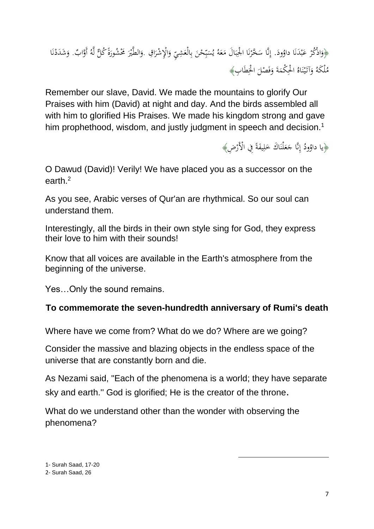#### ﴿وَاذْكُرْ عَبْدَنَا داؤودَ. إِنَّا سَخَّرْنَا الْجِبَالَ مَعَهُ يُسَبِّحْنَ بِالْعَشِيِّ وَالْإِشْرَاقِ .وَالطَّيْرَ مَخْشُورَةً كُلِّ لَّهُ أَوَّابٌ. وَشَدَدْنَا ُ<br>نا ب ر<br>د .<br>. َ ا َ َ ِ ب َ ِ ب  $\ddot{\phantom{0}}$ و<br>يە َ  $\overline{\phantom{a}}$  $\ddot{\cdot}$ ب .<br>ا ن .<br>.<br>.  $\overline{a}$ َ َ  $\overline{\phantom{a}}$ ْ .<br>. ن <u>:</u> َ مُلْكَهُ وَآتَيْنَاهُ الْحِكْمَةَ وَفَصْلَ الْخِطَابِ﴾  $\overline{\phantom{0}}$ ِ<br>ف َ  $\overline{\phantom{a}}$ .<br>. ن .<br>: ي َ َ

Remember our slave, David. We made the mountains to glorify Our Praises with him (David) at night and day. And the birds assembled all with him to glorified His Praises. We made his kingdom strong and gave him prophethood, wisdom, and justly judgment in speech and decision.<sup>1</sup>

> ﴿يا دَاوُودُ إِنَّا جَعَلْنَاكَ خَلِيفَةً فِي الْأَرْضِ﴾ ة<br>أ ِ َ .<br>. َ َ ِ إ

O Dawud (David)! Verily! We have placed you as a successor on the earth. 2

As you see, Arabic verses of Qur'an are rhythmical. So our soul can understand them.

Interestingly, all the birds in their own style sing for God, they express their love to him with their sounds!

Know that all voices are available in the Earth's atmosphere from the beginning of the universe.

Yes…Only the sound remains.

# **To commemorate the seven-hundredth anniversary of Rumi's death**

Where have we come from? What do we do? Where are we going?

Consider the massive and blazing objects in the endless space of the universe that are constantly born and die.

As Nezami said, "Each of the phenomena is a world; they have separate sky and earth.'' God is glorified; He is the creator of the throne.

1

What do we understand other than the wonder with observing the phenomena?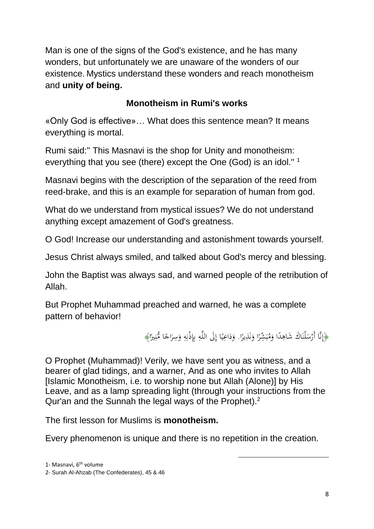Man is one of the signs of the God's existence, and he has many wonders, but unfortunately we are unaware of the wonders of our existence. Mystics understand these wonders and reach monotheism and **unity of being.**

# **Monotheism in Rumi's works**

«Only God is effective»… What does this sentence mean? It means everything is mortal.

Rumi said:'' This Masnavi is the shop for Unity and monotheism: everything that you see (there) except the One (God) is an idol.'' <sup>1</sup>

Masnavi begins with the description of the separation of the reed from reed-brake, and this is an example for separation of human from god.

What do we understand from mystical issues? We do not understand anything except amazement of God's greatness.

O God! Increase our understanding and astonishment towards yourself.

Jesus Christ always smiled, and talked about God's mercy and blessing.

John the Baptist was always sad, and warned people of the retribution of Allah.

But Prophet Muhammad preached and warned, he was a complete pattern of behavior!

> ﴿إِنَّا أَرْسَلْنَاكَ شَاهِدًا وَمُبَشِّرًا وَنَذِيرًا[.](http://tanzil.ir/#33:45) وَدَاعِيًا إِلَى اللَّهِ بِإِذْنِهِ وَسِرَاجًا مُّنِيرًا﴾ ا ن َ ا ب َ ا ِ .<br>.  $\ddot{\phantom{0}}$ ِ ِ<br>نا ِ ِ<br>بہ ب ِ اٍ ا ي  $\ddot{ }$ َ ا ِ.<br>ِم ا َ َ

> > 1

O Prophet (Muhammad)! Verily, we have sent you as witness, and a bearer of glad tidings, and a warner, And as one who invites to Allah [Islamic Monotheism, i.e. to worship none but Allah (Alone)] by His Leave, and as a lamp spreading light (through your instructions from the Qur'an and the Sunnah the legal ways of the Prophet).<sup>2</sup>

The first lesson for Muslims is **monotheism.**

Every phenomenon is unique and there is no repetition in the creation.

<sup>2-</sup> Surah Al-Ahzab (The Confederates), 45 & 46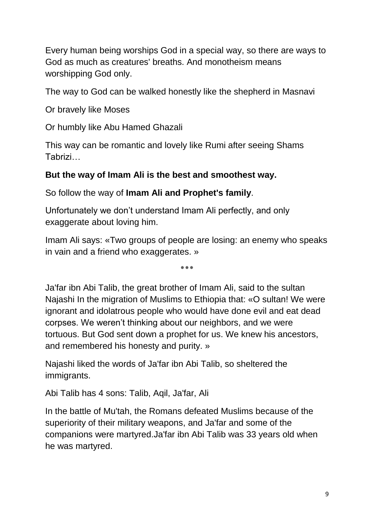Every human being worships God in a special way, so there are ways to God as much as creatures' breaths. And monotheism means worshipping God only.

The way to God can be walked honestly like the shepherd in Masnavi

Or bravely like Moses

Or humbly like Abu Hamed Ghazali

This way can be romantic and lovely like Rumi after seeing Shams Tabrizi…

# **But the way of Imam Ali is the best and smoothest way.**

So follow the way of **Imam Ali and Prophet's family**.

Unfortunately we don't understand Imam Ali perfectly, and only exaggerate about loving him.

Imam Ali says: «Two groups of people are losing: an enemy who speaks in vain and a friend who exaggerates. »

٭٭٭

Ja'far ibn Abi Talib, the great brother of Imam Ali, said to the sultan Najashi In the migration of Muslims to Ethiopia that: «O sultan! We were ignorant and idolatrous people who would have done evil and eat dead

corpses. We weren't thinking about our neighbors, and we were tortuous. But God sent down a prophet for us. We knew his ancestors, and remembered his honesty and purity. »

Najashi liked the words of Ja'far ibn Abi Talib, so sheltered the immigrants.

Abi Talib has 4 sons: Talib, Aqil, Ja'far, Ali

In the battle of Mu'tah, the Romans defeated Muslims because of the superiority of their military weapons, and Ja'far and some of the companions were martyred.Ja'far ibn Abi Talib was 33 years old when he was martyred.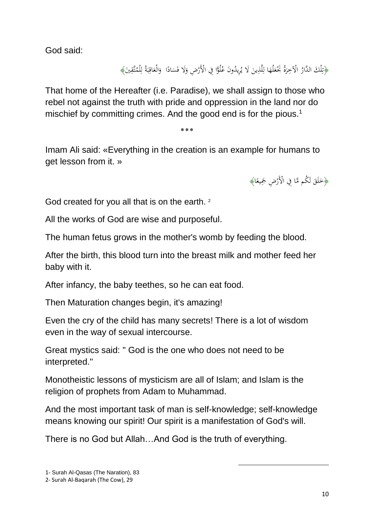God said:

﴿تِلْكَ الدَّارُ الْآخِرَةُ بَحْعَلُهَا لِلَّذِينَ لَا يُرِيدُونَ عُلُوًّا فِي الْأَرْضِ وَلَا فَسَادًا ۚ وَالْعَاقِبَةُ لِلْمُتَّقِينَ﴾  $\ddot{\phantom{0}}$ َ .<br>. َ ا  $\Leftrightarrow$ َ َ  $\overline{\mathsf{l}}$ ِ<br>نا ت<br>تر ِ ل  $\ddot{\cdot}$ ب ِ<br>ف َ َ ِ.

That home of the Hereafter (i.e. Paradise), we shall assign to those who rebel not against the truth with pride and oppression in the land nor do mischief by committing crimes. And the good end is for the pious.<sup>1</sup>

٭٭٭

Imam Ali said: «Everything in the creation is an example for humans to get lesson from it. »

> ﴿خَلَقَ لَكُم مَّا فِي الْأَرْضِ جَمِيعًا﴾ .<br>ا  $\overline{\phantom{0}}$ َ

God created for you all that is on the earth. <sup>2</sup>

All the works of God are wise and purposeful.

The human fetus grows in the mother's womb by feeding the blood.

After the birth, this blood turn into the breast milk and mother feed her baby with it.

After infancy, the baby teethes, so he can eat food.

Then Maturation changes begin, it's amazing!

Even the cry of the child has many secrets! There is a lot of wisdom even in the way of sexual intercourse.

Great mystics said: '' God is the one who does not need to be interpreted.''

Monotheistic lessons of mysticism are all of Islam; and Islam is the religion of prophets from Adam to Muhammad.

And the most important task of man is self-knowledge; self-knowledge means knowing our spirit! Our spirit is a manifestation of God's will.

1

There is no God but Allah…And God is the truth of everything.

<sup>1-</sup> Surah Al-Qasas (The Naration), 83

<sup>2-</sup> Surah Al-Baqarah (The Cow), 29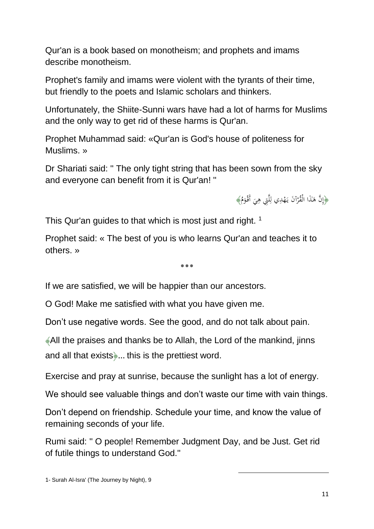Qur'an is a book based on monotheism; and prophets and imams describe monotheism.

Prophet's family and imams were violent with the tyrants of their time, but friendly to the poets and Islamic scholars and thinkers.

Unfortunately, the Shiite-Sunni wars have had a lot of harms for Muslims and the only way to get rid of these harms is Qur'an.

Prophet Muhammad said: «Qur'an is God's house of politeness for Muslims. »

Dr Shariati said: '' The only tight string that has been sown from the sky and everyone can benefit from it is Qur'an! ''

> ﴿إِنَّ هَاذَا الْقُرْآنَ يَهْدِي لِلَّتِي هِيَ أَقْوَمُ﴾ َ  $\ddot{\cdot}$ ِ ڶ .<br>أ ر<br>.  $\overline{a}$ ر<br>أ

This Qur'an guides to that which is most just and right.<sup>1</sup>

Prophet said: « The best of you is who learns Qur'an and teaches it to others. »

ے<br>ماد عاد عاد

If we are satisfied, we will be happier than our ancestors.

O God! Make me satisfied with what you have given me.

Don't use negative words. See the good, and do not talk about pain.

﴾All the praises and thanks be to Allah, the Lord of the mankind, jinns and all that exists﴿**…** this is the prettiest word.

Exercise and pray at sunrise, because the sunlight has a lot of energy.

We should see valuable things and don't waste our time with vain things.

Don't depend on friendship. Schedule your time, and know the value of remaining seconds of your life.

Rumi said: '' O people! Remember Judgment Day, and be Just. Get rid of futile things to understand God.''

1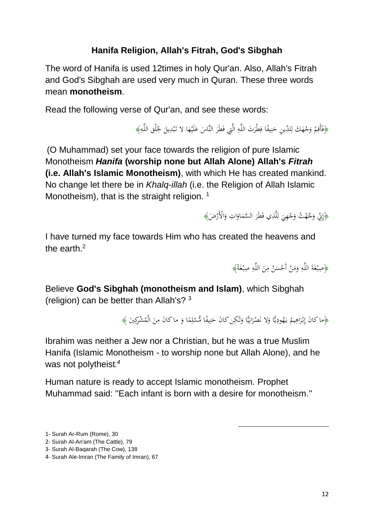# **Hanifa Religion, Allah's Fitrah, God's Sibghah**

The word of Hanifa is used 12times in holy Qur'an. Also, Allah's Fitrah and God's Sibghah are used very much in Quran. These three words mean **monotheism**.

Read the following verse of Qur'an, and see these words:

﴿فَأَقِمْ وَجْهَكَ لِلدِّينِ حَنِيفًا فِطْرَتَ اللَّهِ الَّتِي فَطَرَ النَّاسَ عَلَيْهَا لا تَبْدِيلَ لِخَلْقِ اللَّهِ﴾ **ٔ** َ .<br>-ر<br>ا ِ ِ.<br>ف .<br>م ِ ن َ J ْ َ <sup>أ</sup> ِ :<br>أ :<br>نا  $\overline{\phantom{0}}$ .<br>. ب ِّ ِ

(O Muhammad) set your face towards the religion of pure Islamic Monotheism *Hanifa* **(worship none but Allah Alone) Allah's** *Fitrah* **(i.e. Allah's Islamic Monotheism)**, with which He has created mankind. No change let there be in *Khalq*-*illah* (i.e. the Religion of Allah Islamic Monotheism), that is the straight religion.  $1$ 

> ﴿إِنِّي وَجَّهْتُ وَجْهِيَ لِلَّذِي فَطَرَ السَّمَاوَاتِ وَالْأَرْضَ﴾ َ ا َ  $\overline{\phantom{a}}$ ر<br>ا ِ<br>ا ل  $\ddot{\cdot}$ ْ َ َ

I have turned my face towards Him who has created the heavens and the earth.<sup>2</sup>

> ة<br>أ ﴿صِبْغَةَ اللَّهِ وَمَنْ أَحْسَنُ مِنَ اللَّهِ صِبْغَةً﴾ .<br>. :<br>با ِ  $\ddot{\phantom{0}}$ ْ ا<br>ا َ ِ <u>ة</u> .<br>. .<br>.

Believe **God's Sibghah (monotheism and Islam)**, which Sibghah (religion) can be better than Allah's?  $3$ 

> ﴿مَاكَانَ إِبْرَاهِيمُ يَهُودِيًّا وَلَا نَصْرَانِيًّا وَلَكِن كَانَ حَنِيفًا مُّسْلِمًا وَ ماكَانَ مِنَ الْمُشْرِكِينَ ﴾ َ ي ِ َ َ ي **∶** ب<br>: ِ َ .<br>ا ْ .<br>ا ِ ن َ َ ا :<br>با ِ<br>ِم

> > 1

Ibrahim was neither a Jew nor a Christian, but he was a true Muslim Hanifa (Islamic Monotheism - to worship none but Allah Alone), and he was not polytheist*. 4*

Human nature is ready to accept Islamic monotheism. Prophet Muhammad said: ''Each infant is born with a desire for monotheism.''

<sup>1-</sup> Surah Ar-Rum (Rome), 30

<sup>2-</sup> Surah Al-An'am (The Cattle), 79

<sup>3-</sup> Surah Al-Baqarah (The Cow), 138

<sup>4-</sup> Surah Ale-Imran (The Family of Imran), 67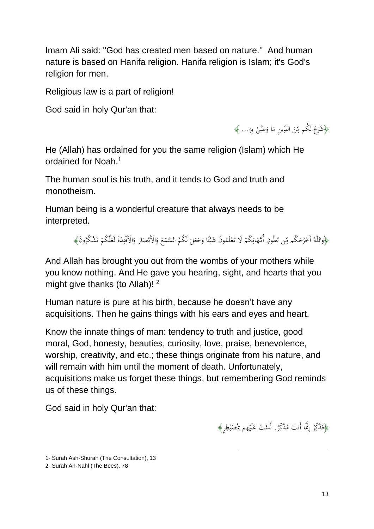Imam Ali said: ''God has created men based on nature.'' And human nature is based on Hanifa religion. Hanifa religion is Islam; it's God's religion for men.

Religious law is a part of religion!

God said in holy Qur'an that:

﴿شَرَعَ لَكُم مِّنَ الدِّينِ مَا وَصَّىٰ بِهِ... ﴾ َ ِ ِ ب Ĺ َ  $\overline{\phantom{a}}$ َ

He (Allah) has ordained for you the same religion (Islam) which He ordained for Noah.<sup>1</sup>

The human soul is his truth, and it tends to God and truth and monotheism.

Human being is a wonderful creature that always needs to be interpreted.

> :<br>أ وَاللَّهُ أَخْرَجَكُم مِّن بُطُونِ أُمَّهَاتِكُمْ لَا تَعْلَمُونَ شَيْئًا وَجَعَلَ لَكُمُ السَّمْعَ وَالْأَبْصَارَ وَالْأَفْئِدَةَ لَعَلَّكُمْ تَشْكُرُونَ﴾ .<br>ن  $\overline{a}$ َ  $\zeta$ ا<br>أ  $\overline{\phantom{0}}$ َ َ ا ا: .<br>. ْ <sup>1</sup> :<br>با  $\Leftrightarrow$ ِ َ .<br>. ْ َ ِ ئ ة<br>م ً<br>ا ت ْ َ

And Allah has brought you out from the wombs of your mothers while you know nothing. And He gave you hearing, sight, and hearts that you might give thanks (to Allah)!  $2$ 

Human nature is pure at his birth, because he doesn't have any acquisitions. Then he gains things with his ears and eyes and heart.

Know the innate things of man: tendency to truth and justice, good moral, God, honesty, beauties, curiosity, love, praise, benevolence, worship, creativity, and etc.; these things originate from his nature, and will remain with him until the moment of death. Unfortunately, acquisitions make us forget these things, but remembering God reminds us of these things.

God said in holy Qur'an that:

﴿فَذَكِّرْ إِنَّمَا أَنتَ مُذَكِّرٌ. لَّسْتَ عَلَيْهِم بِمُصَيْطِرٍ﴾ إ .<br>. ي  $\overline{a}$ ِ **ٔ** َ

 $\overline{a}$ 

1- Surah Ash-Shurah (The Consultation), 13

2- Surah An-Nahl (The Bees), 78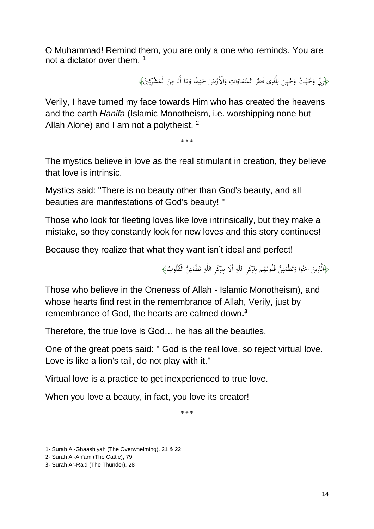O Muhammad! Remind them, you are only a one who reminds. You are not a dictator over them. <sup>1</sup>

> ﴿إِنِّ وَجَّهْتُ وَجْهِيَ لِلَّذِي فَطَرَ السَّمَاوَاتِ وَالْأَرْضَ حَنِيفًا وَمَا أَنَا مِنَ الْمُشْرِكِينَ﴾ ڹ ن َ َ ا َ  $\overline{\phantom{a}}$ ر<br>ا ا ل َ ْ َ َ َ ∕. .<br>.  $\overline{\phantom{a}}$ َ

Verily, I have turned my face towards Him who has created the heavens and the earth *Hanifa* (Islamic Monotheism, i.e. worshipping none but Allah Alone) and I am not a polytheist.  $2$ 

٭٭٭

The mystics believe in love as the real stimulant in creation, they believe that love is intrinsic.

Mystics said: ''There is no beauty other than God's beauty, and all beauties are manifestations of God's beauty! ''

Those who look for fleeting loves like love intrinsically, but they make a mistake, so they constantly look for new loves and this story continues!

Because they realize that what they want isn't ideal and perfect!

﴿الَّذِينَ آمَنُوا وَتَطْمَئِنُّ قُلُوبُهُم بِذِكْرِ اللَّهِ أَلَا بِذِكْرِ اللَّهِ تَطْمَئِنُّ الْقُلُوبُ﴾ ن ا<br>ا َ ِ ِ ئ ً<sup>ٍ</sup> ِ ئ  $\overline{a}$ ت ِ

1

Those who believe in the Oneness of Allah - Islamic Monotheism), and whose hearts find rest in the remembrance of Allah, Verily, just by remembrance of God, the hearts are calmed down**. 3**

Therefore, the true love is God… he has all the beauties.

One of the great poets said: '' God is the real love, so reject virtual love. Love is like a lion's tail, do not play with it.''

Virtual love is a practice to get inexperienced to true love.

When you love a beauty, in fact, you love its creator!

٭٭٭

<sup>1-</sup> Surah Al-Ghaashiyah (The Overwhelming), 21 & 22

<sup>2-</sup> Surah Al-An'am (The Cattle), 79

<sup>3-</sup> Surah Ar-Ra'd (The Thunder), 28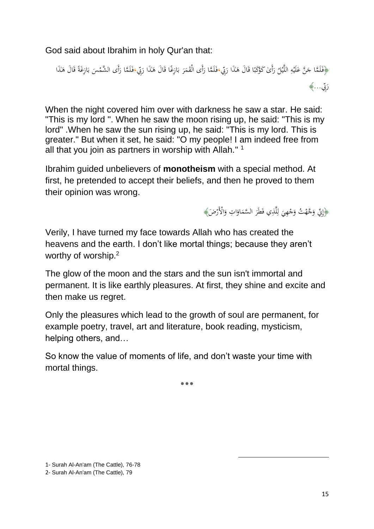God said about Ibrahim in holy Qur'an that:

﴿فَلَمَّا جَنَّ عَلَيْهِ اللَّيْلُ رَأَىٰ كَوْكَبًا قَالَ هَاٰذَا رَبِّي،فَلَمَّا رَأَى الْقَمَرَ بَازِغًا قَالَ هَاٰذَا رَبِّي،فَلَمَّا رَأَى الشَّمْسَ بَازِغَةً قَالَ هَاٰذَا<br>. <u>ٔ</u> َ ي ِ **:** َ َ .<br>أ َ  $\overline{\phantom{a}}$ َ َ َ ֧ׅׅׅׅׅ֧ׅ֧ׅ֧֧ׅ֧ׅ֧ׅ֧֚֚֚֚֚֚֚֚֚֚֚֚֚֚֚֚֚֚֚֚֚֚֚֚֚֚֚֡֕֝֡֡֡֡֝֟֓֡֡֡֜֜֝֬֝֜֝֬ **م** ن<br>ا با<br>ا ب ر<br>.  $\ddot{\phantom{0}}$ َ .<br>ف  $\overline{a}$ َ َ ة<br>أ با<br>. ب .<br>-َ :<br>؛ ِّ ِب ر ...﴾ ُ.

When the night covered him over with darkness he saw a star. He said: "This is my lord ''. When he saw the moon rising up, he said: "This is my lord" .When he saw the sun rising up, he said: "This is my lord. This is greater." But when it set, he said: "O my people! I am indeed free from all that you join as partners in worship with Allah.'' <sup>1</sup>

Ibrahim guided unbelievers of **monotheism** with a special method. At first, he pretended to accept their beliefs, and then he proved to them their opinion was wrong.

> ﴿إِنِّي وَجَّهْتُ وَجْهِيَ لِلَّذِي فَطَرَ السَّمَاوَاتِ وَالْأَرْضَ﴾ َ ا َ  $\overline{\phantom{a}}$ ر<br>ا ِ<br>ا ل  $\ddot{\cdot}$ ْ َ َ

Verily, I have turned my face towards Allah who has created the heavens and the earth. I don't like mortal things; because they aren't worthy of worship.<sup>2</sup>

The glow of the moon and the stars and the sun isn't immortal and permanent. It is like earthly pleasures. At first, they shine and excite and then make us regret.

Only the pleasures which lead to the growth of soul are permanent, for example poetry, travel, art and literature, book reading, mysticism, helping others, and…

So know the value of moments of life, and don't waste your time with mortal things.

٭٭٭

1

<sup>1-</sup> Surah Al-An'am (The Cattle), 76-78

<sup>2-</sup> Surah Al-An'am (The Cattle), 79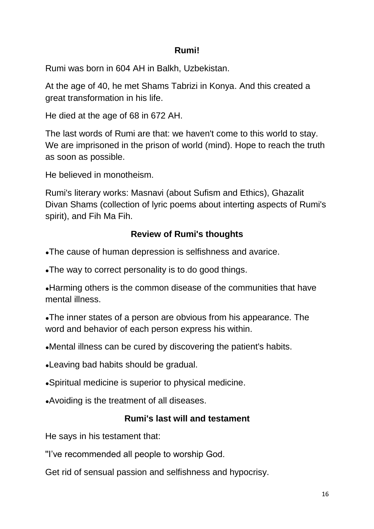# **Rumi!**

Rumi was born in 604 AH in Balkh, Uzbekistan.

At the age of 40, he met Shams Tabrizi in Konya. And this created a great transformation in his life.

He died at the age of 68 in 672 AH.

The last words of Rumi are that: we haven't come to this world to stay. We are imprisoned in the prison of world (mind). Hope to reach the truth as soon as possible.

He believed in monotheism.

Rumi's literary works: Masnavi (about Sufism and Ethics), Ghazalit Divan Shams (collection of lyric poems about interting aspects of Rumi's spirit), and Fih Ma Fih.

# **Review of Rumi's thoughts**

•The cause of human depression is selfishness and avarice.

•The way to correct personality is to do good things.

• Harming others is the common disease of the communities that have mental illness.

•The inner states of a person are obvious from his appearance. The word and behavior of each person express his within.

•Mental illness can be cured by discovering the patient's habits.

• Leaving bad habits should be gradual.

●Spiritual medicine is superior to physical medicine.

•Avoiding is the treatment of all diseases.

# **Rumi's last will and testament**

He says in his testament that:

''I've recommended all people to worship God.

Get rid of sensual passion and selfishness and hypocrisy.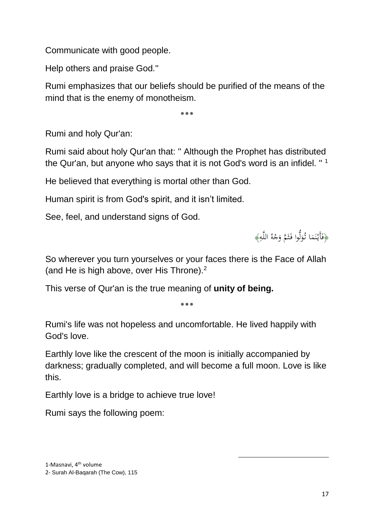Communicate with good people.

Help others and praise God.''

Rumi emphasizes that our beliefs should be purified of the means of the mind that is the enemy of monotheism.

٭٭٭

Rumi and holy Qur'an:

Rumi said about holy Qur'an that: '' Although the Prophet has distributed the Qur'an, but anyone who says that it is not God's word is an infidel. "  $1$ 

He believed that everything is mortal other than God.

Human spirit is from God's spirit, and it isn't limited.

See, feel, and understand signs of God.

﴿فَأَيْنَمَا تُوَلُّوا فَثَمَّ وَجْهُ اللَّهِ﴾ ِ ْ ث َ ل ر<br>ر َ ن **ٍ**<br>∶

So wherever you turn yourselves or your faces there is the Face of Allah (and He is high above, over His Throne).<sup>2</sup>

This verse of Qur'an is the true meaning of **unity of being.**

**٭٭٭**

Rumi's life was not hopeless and uncomfortable. He lived happily with God's love.

Earthly love like the crescent of the moon is initially accompanied by darkness; gradually completed, and will become a full moon. Love is like this.

1

Earthly love is a bridge to achieve true love!

Rumi says the following poem: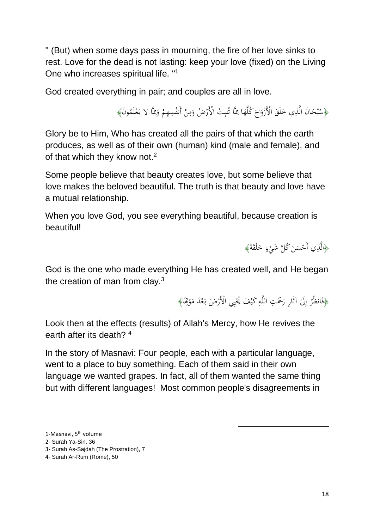'' (But) when some days pass in mourning, the fire of her love sinks to rest. Love for the dead is not lasting: keep your love (fixed) on the Living One who increases spiritual life. ''<sup>1</sup>

God created everything in pair; and couples are all in love.

﴿سُبْحَانَ الَّذِي خَلَقَ الْأَزْوَاجَ كُلَّهَا مِمَّا تُنبِتُ الْأَرْضُ وَمِنْ أَنفُسِهِمْ وَمِمَّا لا يَعْلَمُونَ﴾ ْ یہ<br>۔ ِ َ ْ ْ ِ<br>ِم َ **∶ ∶**  $\epsilon$  $\zeta$ َ  $\overline{a}$ َ َ ب

Glory be to Him, Who has created all the pairs of that which the earth produces, as well as of their own (human) kind (male and female), and of that which they know not.<sup>2</sup>

Some people believe that beauty creates love, but some believe that love makes the beloved beautiful. The truth is that beauty and love have a mutual relationship.

When you love God, you see everything beautiful, because creation is beautiful!

> ﴿الَّذِي أَحْسَنَ كُلَّ شَيْءٍ خَلَقَهُ﴾ َ **ء**ِ ْ َ  $\ddot{\phantom{0}}$

God is the one who made everything He has created well, and He began the creation of man from clay. $3$ 

> ﴿فَانظُرْ إِلَىٰ آثَارِ رَحْمَتِ اللَّهِ كَيْفَ يُحْيِي الْأَرْضَ بَعْدَ مَوْتِحَا﴾ **ٔ**  $\overline{\phantom{a}}$ با<br>أ ي شيا<br>أ ِ .<br>ا ِ إ ر<br>ا

> > 1

Look then at the effects (results) of Allah's Mercy, how He revives the earth after its death? 4

In the story of Masnavi: Four people, each with a particular language, went to a place to buy something. Each of them said in their own language we wanted grapes. In fact, all of them wanted the same thing but with different languages! Most common people's disagreements in

- 3- Surah As-Sajdah (The Prostration), 7
- 4- Surah Ar-Rum (Rome), 50

<sup>1-</sup>Masnavi, 5<sup>th</sup> volume

<sup>2-</sup> Surah Ya-Sin, 36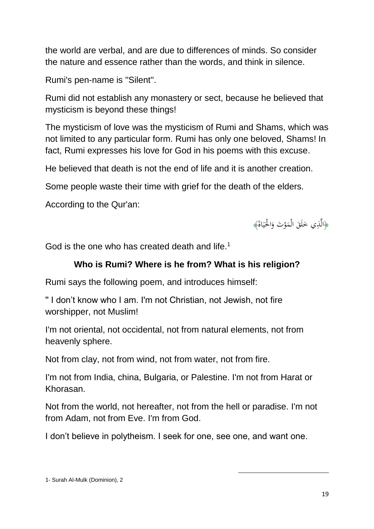the world are verbal, and are due to differences of minds. So consider the nature and essence rather than the words, and think in silence.

Rumi's pen-name is ''Silent''.

Rumi did not establish any monastery or sect, because he believed that mysticism is beyond these things!

The mysticism of love was the mysticism of Rumi and Shams, which was not limited to any particular form. Rumi has only one beloved, Shams! In fact, Rumi expresses his love for God in his poems with this excuse.

He believed that death is not the end of life and it is another creation.

Some people waste their time with grief for the death of the elders.

According to the Qur'an:



God is the one who has created death and life.<sup>1</sup>

## **Who is Rumi? Where is he from? What is his religion?**

Rumi says the following poem, and introduces himself:

'' I don't know who I am. I'm not Christian, not Jewish, not fire worshipper, not Muslim!

I'm not oriental, not occidental, not from natural elements, not from heavenly sphere.

Not from clay, not from wind, not from water, not from fire.

I'm not from India, china, Bulgaria, or Palestine. I'm not from Harat or Khorasan.

Not from the world, not hereafter, not from the hell or paradise. I'm not from Adam, not from Eve. I'm from God.

1

I don't believe in polytheism. I seek for one, see one, and want one.

<sup>1-</sup> Surah Al-Mulk (Dominion), 2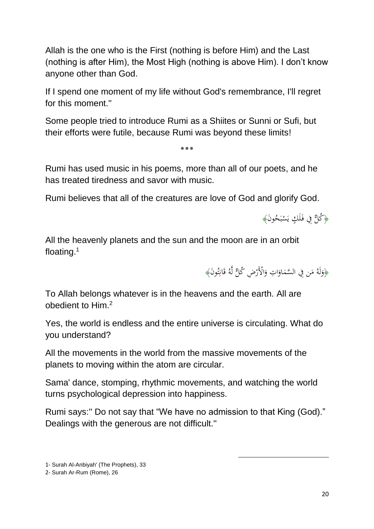Allah is the one who is the First (nothing is before Him) and the Last (nothing is after Him), the Most High (nothing is above Him). I don't know anyone other than God.

If I spend one moment of my life without God's remembrance, I'll regret for this moment."

Some people tried to introduce Rumi as a Shiites or Sunni or Sufi, but their efforts were futile, because Rumi was beyond these limits!

Rumi has used music in his poems, more than all of our poets, and he has treated tiredness and savor with music.

**٭٭٭**

Rumi believes that all of the creatures are love of God and glorify God.

ُ وَأَكُنَّ فِي فَلَكٍ يَسْبَحُونَ﴾ ب ْ لَ .<br>أ

All the heavenly planets and the sun and the moon are in an orbit floating.<sup>1</sup>

> ﴿وَلَهُ مَن فِي السَّمَاوَاتِ وَالْأَرْضِ كُلٌّ لَّهُ قَانِتُونَ﴾ َ ا َ  $\overline{\phantom{a}}$  $\overline{\phantom{a}}$ َ و<br>ته ِ َ

To Allah belongs whatever is in the heavens and the earth. All are <sup>2</sup> obedient to Him.

Yes, the world is endless and the entire universe is circulating. What do you understand?

All the movements in the world from the massive movements of the planets to moving within the atom are circular.

Sama' dance, stomping, rhythmic movements, and watching the world turns psychological depression into happiness.

Rumi says:'' Do not say that "We have no admission to that King (God)." Dealings with the generous are not difficult.''

1

1- Surah Al-Anbiyah' (The Prophets), 33

<sup>2-</sup> Surah Ar-Rum (Rome), 26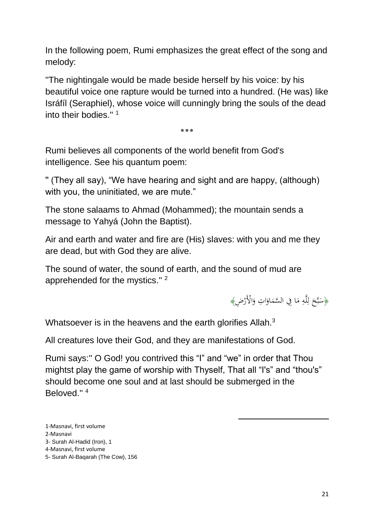In the following poem, Rumi emphasizes the great effect of the song and melody:

''The nightingale would be made beside herself by his voice: by his beautiful voice one rapture would be turned into a hundred. (He was) like Isráfíl (Seraphiel), whose voice will cunningly bring the souls of the dead into their bodies."<sup>1</sup>

**٭٭٭**

Rumi believes all components of the world benefit from God's intelligence. See his quantum poem:

'' (They all say), "We have hearing and sight and are happy, (although) with you, the uninitiated, we are mute."

The stone salaams to Ahmad (Mohammed); the mountain sends a message to Yahyá (John the Baptist).

Air and earth and water and fire are (His) slaves: with you and me they are dead, but with God they are alive.

The sound of water, the sound of earth, and the sound of mud are apprehended for the mystics."<sup>2</sup>



Whatsoever is in the heavens and the earth glorifies Allah.<sup>3</sup>

All creatures love their God, and they are manifestations of God.

Rumi says:'' O God! you contrived this "I" and "we" in order that Thou mightst play the game of worship with Thyself, That all "I's" and "thou's" should become one soul and at last should be submerged in the Beloved." 4

1

- 1-Masnavi, first volume
- 2-Masnavi
- 3- Surah Al-Hadid (Iron), 1
- 4-Masnavi, first volume

<sup>5</sup>- Surah Al-Baqarah (The Cow), 156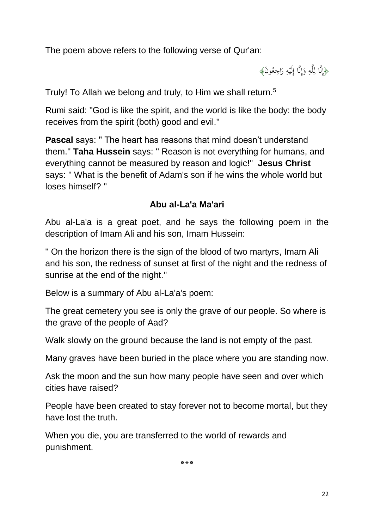The poem above refers to the following verse of Qur'an:

﴿إِنَّا لِلَّهِ وَإِنَّا إِلَيْهِ رَاجِعُونَ﴾ َ ٍ<br>په **ٔ** ِ ֝׀<br>֧֧֧ إ َ ِ ڶ

Truly! To Allah we belong and truly, to Him we shall return.<sup>5</sup>

Rumi said: ''God is like the spirit, and the world is like the body: the body receives from the spirit (both) good and evil.''

**Pascal says: "The heart has reasons that mind doesn't understand** them.'' **Taha Hussein** says: '' Reason is not everything for humans, and everything cannot be measured by reason and logic!'' **Jesus Christ** says: '' What is the benefit of Adam's son if he wins the whole world but loses himself? ''

# **Abu al-La'a Ma'ari**

Abu al-La'a is a great poet, and he says the following poem in the description of Imam Ali and his son, Imam Hussein:

'' On the horizon there is the sign of the blood of two martyrs, Imam Ali and his son, the redness of sunset at first of the night and the redness of sunrise at the end of the night.''

Below is a summary of Abu al-La'a's poem:

The great cemetery you see is only the grave of our people. So where is the grave of the people of Aad?

Walk slowly on the ground because the land is not empty of the past.

Many graves have been buried in the place where you are standing now.

Ask the moon and the sun how many people have seen and over which cities have raised?

People have been created to stay forever not to become mortal, but they have lost the truth.

When you die, you are transferred to the world of rewards and punishment.

**٭٭٭**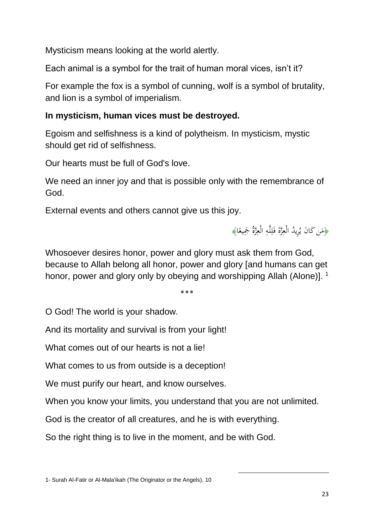Mysticism means looking at the world alertly.

Each animal is a symbol for the trait of human moral vices, isn't it?

For example the fox is a symbol of cunning, wolf is a symbol of brutality, and lion is a symbol of imperialism.

## **In mysticism, human vices must be destroyed.**

Egoism and selfishness is a kind of polytheism. In mysticism, mystic should get rid of selfishness.

Our hearts must be full of God's love.

We need an inner joy and that is possible only with the remembrance of God.

External events and others cannot give us this joy.

﴿مَن كَانَ يُرِيدُ الْعِزَّةَ فَلِلَّهِ الْعِزَّةُ مَجِيعًا﴾ ِ ِ ا نما<br>أ ِ<br>پ  $\overline{\phantom{a}}$ 

Whosoever desires honor, power and glory must ask them from God, because to Allah belong all honor, power and glory [and humans can get honor, power and glory only by obeying and worshipping Allah (Alone)]. <sup>1</sup>

**٭٭٭**

O God! The world is your shadow.

And its mortality and survival is from your light!

What comes out of our hearts is not a lie!

What comes to us from outside is a deception!

We must purify our heart, and know ourselves.

When you know your limits, you understand that you are not unlimited.

1

God is the creator of all creatures, and he is with everything.

So the right thing is to live in the moment, and be with God.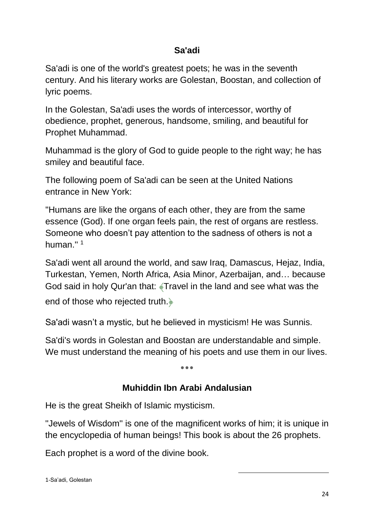# **Sa'adi**

Sa'adi is one of the world's greatest poets; he was in the seventh century. And his literary works are Golestan, Boostan, and collection of lyric poems.

In the Golestan, Sa'adi uses the words of intercessor, worthy of obedience, prophet, generous, handsome, smiling, and beautiful for Prophet Muhammad.

Muhammad is the glory of God to guide people to the right way; he has smiley and beautiful face.

The following poem of Sa'adi can be seen at the United Nations entrance in New York:

''Humans are like the organs of each other, they are from the same essence (God). If one organ feels pain, the rest of organs are restless. Someone who doesn't pay attention to the sadness of others is not a human." $1$ 

Sa'adi went all around the world, and saw Iraq, Damascus, Hejaz, India, Turkestan, Yemen, North Africa, Asia Minor, Azerbaijan, and… because God said in holy Qur'an that: ﴾Travel in the land and see what was the end of those who rejected truth.﴿

Sa'adi wasn't a mystic, but he believed in mysticism! He was Sunnis.

Sa'di's words in Golestan and Boostan are understandable and simple. We must understand the meaning of his poets and use them in our lives.

**٭٭٭**

# **Muhiddin Ibn Arabi Andalusian**

He is the great Sheikh of Islamic mysticism.

''Jewels of Wisdom'' is one of the magnificent works of him; it is unique in the encyclopedia of human beings! This book is about the 26 prophets.

1

Each prophet is a word of the divine book.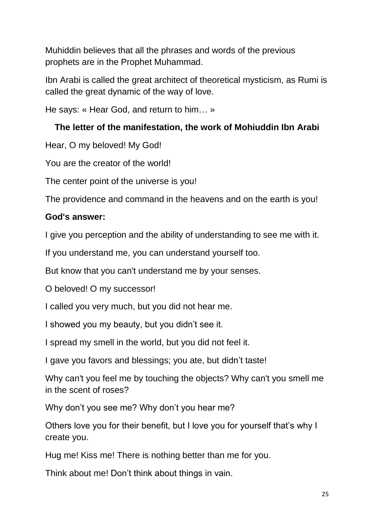Muhiddin believes that all the phrases and words of the previous prophets are in the Prophet Muhammad.

Ibn Arabi is called the great architect of theoretical mysticism, as Rumi is called the great dynamic of the way of love.

He says: « Hear God, and return to him… »

# **The letter of the manifestation, the work of Mohiuddin Ibn Arabi**

Hear, O my beloved! My God!

You are the creator of the world!

The center point of the universe is you!

The providence and command in the heavens and on the earth is you!

# **God's answer:**

I give you perception and the ability of understanding to see me with it.

If you understand me, you can understand yourself too.

But know that you can't understand me by your senses.

O beloved! O my successor!

I called you very much, but you did not hear me.

I showed you my beauty, but you didn't see it.

I spread my smell in the world, but you did not feel it.

I gave you favors and blessings; you ate, but didn't taste!

Why can't you feel me by touching the objects? Why can't you smell me in the scent of roses?

Why don't you see me? Why don't you hear me?

Others love you for their benefit, but I love you for yourself that's why I create you.

Hug me! Kiss me! There is nothing better than me for you.

Think about me! Don't think about things in vain.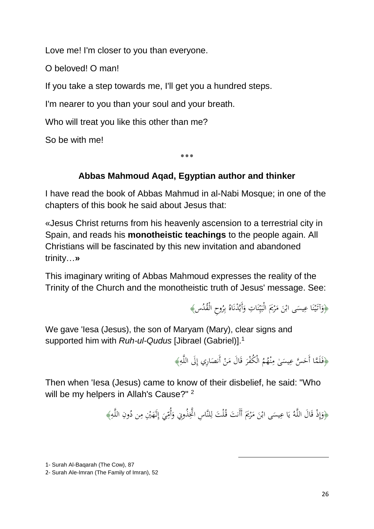Love me! I'm closer to you than everyone.

O beloved! O man!

If you take a step towards me, I'll get you a hundred steps.

I'm nearer to you than your soul and your breath.

Who will treat you like this other than me?

So be with me!

**٭٭٭**

# **Abbas Mahmoud Aqad, Egyptian author and thinker**

I have read the book of Abbas Mahmud in al-Nabi Mosque; in one of the chapters of this book he said about Jesus that:

«Jesus Christ returns from his heavenly ascension to a terrestrial city in Spain, and reads his **monotheistic teachings** to the people again. All Christians will be fascinated by this new invitation and abandoned trinity…**»**

This imaginary writing of Abbas Mahmoud expresses the reality of the Trinity of the Church and the monotheistic truth of Jesus' message. See:

> ﴿وَآتَيْنَا عِيسَى ابْنَ مَرْيَمَ الْبَيِّنَاتِ وَأَيَّدْنَاهُ بِرُوحِ الْقُدُسِ﴾ ِ ب .<br>نا َ .<br>. ن :<br>با ي  $\ddot{\cdot}$ <u>ّا</u>  $\overline{\phantom{a}}$ َ  $\overline{a}$ .<br>. ن .<br>: ي َ

We gave 'Iesa (Jesus), the son of Maryam (Mary), clear signs and supported him with *Ruh-ul-Qudus* [Jibrael (Gabriel)].<sup>1</sup>

> ﴿فَلَمَّا أَحَسَّ عِيسَىٰ مِنْهُمُ الْكُفْرَ قَالَ مَنْ أَنصَارِي إِلَى اللَّهِ﴾ َ َ ر<br>. ن ∕'  $\overline{a}$  $\ddot{\phantom{0}}$ .<br>أ ٍ<br>په ا  $\overline{\phantom{a}}$

Then when 'Iesa (Jesus) came to know of their disbelief, he said: "Who will be my helpers in Allah's Cause?"<sup>2</sup>

> ﴿وَإِذْ قَالَ اللَّهُ يَا عِيسَى ابْنَ مَرْيَمَ أَأَنتَ قُلْتَ لِلنَّاسِ اتَّخِذُونِي وَأُمِّيَ إِلَهَيْنِ مِن دُونِ اللَّهِ﴾ ِ ِ إ َ ِ<br>م َ ِ <u>ّز</u>  $\overline{\phantom{a}}$ َ  $\ddot{\phantom{0}}$ يا<br>-ي ِّ ِ إ َ ِ

> > 1

<sup>1-</sup> Surah Al-Baqarah (The Cow), 87

<sup>2-</sup> Surah Ale-Imran (The Family of Imran), 52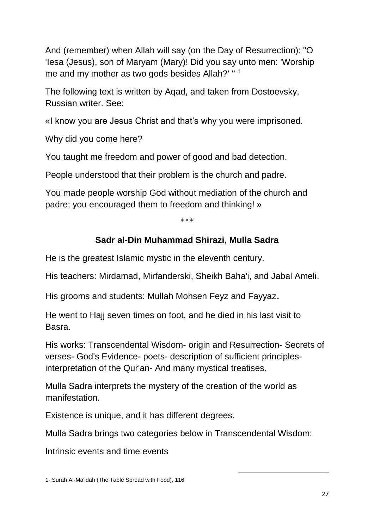And (remember) when Allah will say (on the Day of Resurrection): "O 'Iesa (Jesus), son of Maryam (Mary)! Did you say unto men: 'Worship me and my mother as two gods besides Allah?' "<sup>1</sup>

The following text is written by Aqad, and taken from Dostoevsky, Russian writer. See:

«I know you are Jesus Christ and that's why you were imprisoned.

Why did you come here?

You taught me freedom and power of good and bad detection.

People understood that their problem is the church and padre.

You made people worship God without mediation of the church and padre; you encouraged them to freedom and thinking! »

**٭٭٭**

# **Sadr al-Din Muhammad Shirazi, Mulla Sadra**

He is the greatest Islamic mystic in the eleventh century.

His teachers: Mirdamad, Mirfanderski, Sheikh Baha'i, and Jabal Ameli.

His grooms and students: Mullah Mohsen Feyz and Fayyaz.

He went to Hajj seven times on foot, and he died in his last visit to Basra.

His works: Transcendental Wisdom- origin and Resurrection- Secrets of verses- God's Evidence- poets- description of sufficient principlesinterpretation of the Qur'an- And many mystical treatises.

Mulla Sadra interprets the mystery of the creation of the world as manifestation.

Existence is unique, and it has different degrees.

Mulla Sadra brings two categories below in Transcendental Wisdom:

1

Intrinsic events and time events

<sup>1-</sup> Surah Al-Ma'idah (The Table Spread with Food), 116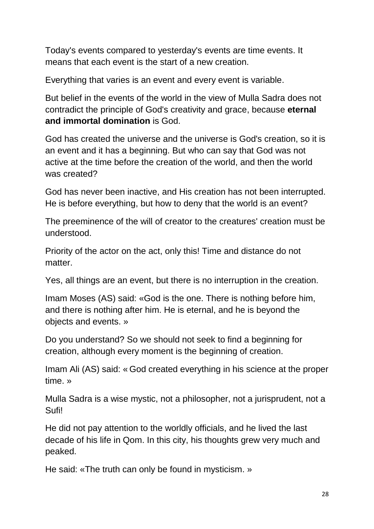Today's events compared to yesterday's events are time events. It means that each event is the start of a new creation.

Everything that varies is an event and every event is variable.

But belief in the events of the world in the view of Mulla Sadra does not contradict the principle of God's creativity and grace, because **eternal and immortal domination** is God.

God has created the universe and the universe is God's creation, so it is an event and it has a beginning. But who can say that God was not active at the time before the creation of the world, and then the world was created?

God has never been inactive, and His creation has not been interrupted. He is before everything, but how to deny that the world is an event?

The preeminence of the will of creator to the creatures' creation must be understood.

Priority of the actor on the act, only this! Time and distance do not matter.

Yes, all things are an event, but there is no interruption in the creation.

Imam Moses (AS) said: «God is the one. There is nothing before him, and there is nothing after him. He is eternal, and he is beyond the objects and events. »

Do you understand? So we should not seek to find a beginning for creation, although every moment is the beginning of creation.

Imam Ali (AS) said: « God created everything in his science at the proper time. »

Mulla Sadra is a wise mystic, not a philosopher, not a jurisprudent, not a Sufi!

He did not pay attention to the worldly officials, and he lived the last decade of his life in Qom. In this city, his thoughts grew very much and peaked.

He said: «The truth can only be found in mysticism. »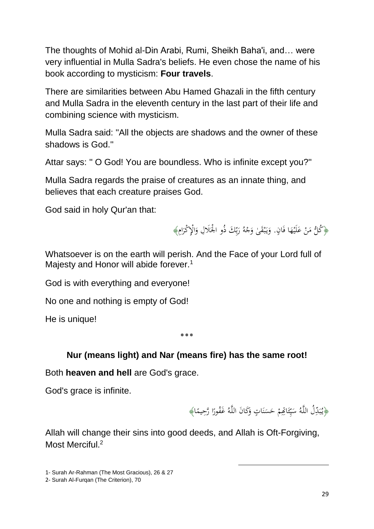The thoughts of Mohid al-Din Arabi, Rumi, Sheikh Baha'i, and… were very influential in Mulla Sadra's beliefs. He even chose the name of his book according to mysticism: **Four travels**.

There are similarities between Abu Hamed Ghazali in the fifth century and Mulla Sadra in the eleventh century in the last part of their life and combining science with mysticism.

Mulla Sadra said: ''All the objects are shadows and the owner of these shadows is God.''

Attar says: '' O God! You are boundless. Who is infinite except you?''

Mulla Sadra regards the praise of creatures as an innate thing, and believes that each creature praises God.

God said in holy Qur'an that:

﴿كُلُّ مَنْ عَلَيْهَا فَانٍ. وَيَبْقَىٰ وَجْهُ رَبِّكَ ذُو الْحَلَالِ وَالْإِكْرَامِ﴾ .<br>ب .<br>ئ **ٔ** ر<br>د ْ ام<br>ا َ ْ .<br>. ب ب<br>: َ َ َ ئي<br>ـ

Whatsoever is on the earth will perish. And the Face of your Lord full of Majesty and Honor will abide forever.<sup>1</sup>

God is with everything and everyone!

No one and nothing is empty of God!

He is unique!

#### ٭٭٭

## **Nur (means light) and Nar (means fire) has the same root!**

Both **heaven and hell** are God's grace.

God's grace is infinite.

﴿يُبَدِّلُ اللَّهُ سَيِّئَاتِهِمْ حَسَنَاتٍ وَكَانَ اللَّهُ غَفُورًا رَّحِيمًا﴾ .<br>. ن  $\ddot{\phantom{0}}$ ء<br>أ ئ ِ<br>پا ي  $\overline{a}$  $\ddot{\cdot}$ ب ا ا ا َ

1

Allah will change their sins into good deeds, and Allah is Oft-Forgiving, Most Merciful<sup>2</sup>

<sup>1-</sup> Surah Ar-Rahman (The Most Gracious), 26 & 27

<sup>2-</sup> Surah Al-Furgan (The Criterion), 70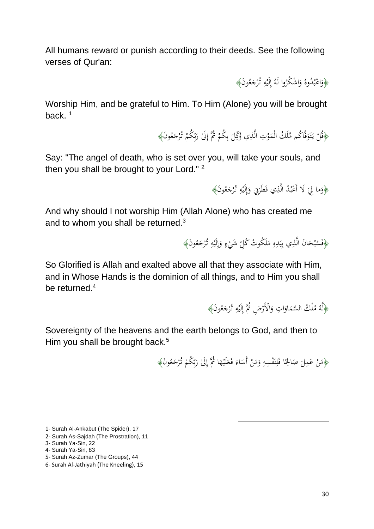All humans reward or punish according to their deeds. See the following verses of Qur'an:

> ﴿وَاعْبُدُوهُ وَاشْكُرُوا لَهُ إِلَيْهِ تُرْجَعُونَ﴾ ا َ ر<br>ب ا<br>أ َ َ **ٔ**

Worship Him, and be grateful to Him. To Him (Alone) you will be brought back. $1$ 

> ﴿قُلْ يَتَوَفَّاكُم مَّلَكُ الْمَوْتِ الَّذِي وُكِّلَ بِكُمْ ثُمَّ إِلَىٰ رَبِّكُمْ تُرْجَعُونَ﴾ **ٔ** َ ْ ِ<br>بِ َ ا <sup> $\mathcal{L}$ </sup> ِ<br>با ب  $\overline{\phantom{0}}$ ،<br>'  $\overline{\phantom{a}}$ ِّ

Say: "The angel of death, who is set over you, will take your souls, and then you shall be brought to your Lord."<sup>2</sup>

> ﴿وَما لِيَ لَا أَعْبُدُ الَّذِي فَطَرَنِي وَإِلَيْهِ تُرْجَعُونَ﴾ ٍ<br>په **ٔ** اُ إ َ ُمُو ب ْ  $\zeta$ َ َ

And why should I not worship Him (Allah Alone) who has created me and to whom you shall be returned.<sup>3</sup>

> ﴿فَسُبْحَانَ الَّذِي بِيَدِهِ مَلَكُوتُ كُلِّ شَيْءٍ وَإِلَيْهِ تُرْجَعُونَ﴾ َ ٍ<br>په **ٔ** ِ إ َ ٍ ْ  $\overline{\phantom{a}}$ ِ  $\ddot{\phantom{0}}$ ي ِّ َ ب

So Glorified is Allah and exalted above all that they associate with Him, and in Whose Hands is the dominion of all things, and to Him you shall be returned  $4$ 

> ﴿لَّهُ مُلْكُ السَّمَاوَاتِ وَالْأَرْضِ ثُمَّ إِلَيْهِ تُرْجَعُونَ﴾ َ ٍ<br>په **ٔ** اِ .<br>.<br>. َ ا َ َ  $\overline{\mathfrak{c}}$

Sovereignty of the heavens and the earth belongs to God, and then to Him you shall be brought back.<sup>5</sup>

> ﴿مَنْ عَمِلَ صَالِحًا فَلِنَفْسِهِ وَمَنْ أَسَاءَ فَعَلَيْهَا ثُمَّ إِلَىٰ رَبِّكُمْ تُرْجَعُونَ﴾ ِ ن ا ة<br>أ ا  $\overline{\phantom{a}}$ ْ  $\overline{\phantom{a}}$ َ ِ<br>بِ َ ا  $\triangleleft$ **ٔ** َ َ  $\ddot{\phantom{0}}$ ْ  $\overline{\phantom{a}}$ َ

> > 1

1- Surah Al-Ankabut (The Spider), 17

- 5- Surah Az-Zumar (The Groups), 44
- 6- Surah Al-Jathiyah (The Kneeling), 15

<sup>2-</sup> Surah As-Sajdah (The Prostration), 11

<sup>3-</sup> Surah Ya-Sin, 22

<sup>4-</sup> Surah Ya-Sin, 83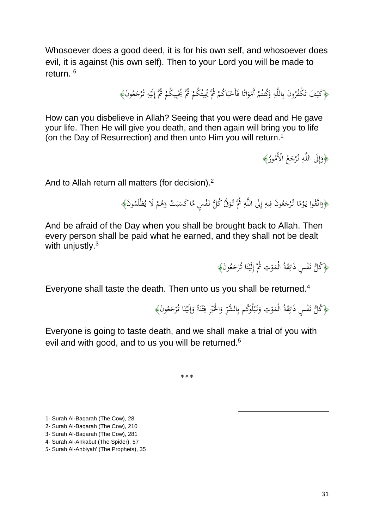Whosoever does a good deed, it is for his own self, and whosoever does evil, it is against (his own self). Then to your Lord you will be made to return. <sup>6</sup>

> ﴿كَيْفَ تَكْفُرُونَ بِاللَّهِ وَكُنتُمْ أَمْوَاتًا فَأَحْيَاكُمْ ثُمَّ يُمِيتُكُمْ ثُمَّ يُخْيِيكُمْ ثُمَّ إِلَيْهِ تُرْجَعُونَ﴾ ا<br>ا ي ْ .<br>ت َ ْ ْ َ ِ ِ .<br>. **ٔ** اِ ْ ِ ي ٔ<br>ٔ ْ ِ<br>ب َ

How can you disbelieve in Allah? Seeing that you were dead and He gave your life. Then He will give you death, and then again will bring you to life (on the Day of Resurrection) and then unto Him you will return.<sup>1</sup>

> ﴿وَإِلَى اللَّهِ تُرْجَعُ الْأُمُورُ﴾ َ ِ ٍٍٍٍٍٍٍٍٍٍٍٍٍٍٍٍٍٍٍٍٍٍٍٍٍ إ َ

And to Allah return all matters (for decision).<sup>2</sup>

.<br>. ﴿وَاتَّقُوا يَوْمًا تُرْجَعُونَ فِيهِ إِلَى اللَّهِ ثُمَّ تُوَقَّ كُلُّ نَفْسٍ مَّا كَسَبَتْ وَهُمْ لَا يُظْلَمُونَ﴾ َ ِ<br>ٍہ ِ إ ٍ<br>په ِ<br>ف َ ا ،<br>. ب<br>: َ ْ َ ب  $\ddot{\phantom{0}}$ ُ<br>مُ

And be afraid of the Day when you shall be brought back to Allah. Then every person shall be paid what he earned, and they shall not be dealt with uniustly. $3$ 

> ﴿كُلُّ نَفْسٍ ذَائِقَةُ الْمَوْتِ ثُمَّ إِلَيْنَا تُرْجَعُونَ﴾ .<br>. ن **ٔ** ِ ،<br>'  $\overline{\phantom{a}}$ ِ .<br>م َ

Everyone shall taste the death. Then unto us you shall be returned.<sup>4</sup>

﴿كُلُّ نَفْسٍ ذَائِقَةُ الْمَوْتِ وَنَبْلُوَكُم بِالشَّرِّ وَالْخَيْرِ فِتْنَةً وَإِلَيْنَا تُرْجَعُونَ﴾ َ .<br>. ن **ٔ** اِ إ َ .<br>. ن <u>:</u> ت ِ ِ ْ َ ِ .<br>. ب ِ<br>ن َ ،<br>.  $\overline{\phantom{a}}$ ِ ُ<br>مُ

 $\overline{a}$ 

Everyone is going to taste death, and we shall make a trial of you with evil and with good, and to us you will be returned.<sup>5</sup>

٭**٭٭**

<sup>1-</sup> Surah Al-Baqarah (The Cow), 28

<sup>2-</sup> Surah Al-Baqarah (The Cow), 210

<sup>3-</sup> Surah Al-Baqarah (The Cow), 281

<sup>4-</sup> Surah Al-Ankabut (The Spider), 57

<sup>5-</sup> Surah Al-Anbiyah' (The Prophets), 35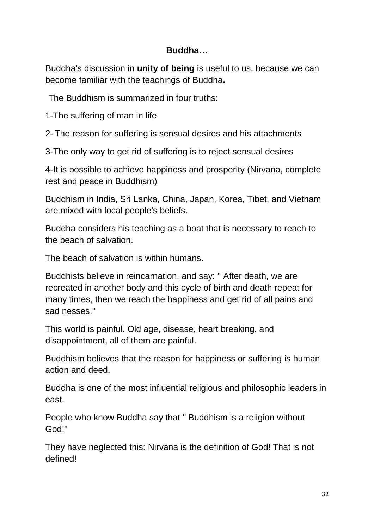# **Buddha…**

Buddha's discussion in **unity of being** is useful to us, because we can become familiar with the teachings of Buddha**.**

The Buddhism is summarized in four truths:

1-The suffering of man in life

2- The reason for suffering is sensual desires and his attachments

3-The only way to get rid of suffering is to reject sensual desires

4-It is possible to achieve happiness and prosperity (Nirvana, complete rest and peace in Buddhism)

Buddhism in India, Sri Lanka, China, Japan, Korea, Tibet, and Vietnam are mixed with local people's beliefs.

Buddha considers his teaching as a boat that is necessary to reach to the beach of salvation.

The beach of salvation is within humans.

Buddhists believe in reincarnation, and say: '' After death, we are recreated in another body and this cycle of birth and death repeat for many times, then we reach the happiness and get rid of all pains and sad nesses.''

This world is painful. Old age, disease, heart breaking, and disappointment, all of them are painful.

Buddhism believes that the reason for happiness or suffering is human action and deed.

Buddha is one of the most influential religious and philosophic leaders in east.

People who know Buddha say that '' Buddhism is a religion without God!''

They have neglected this: Nirvana is the definition of God! That is not defined!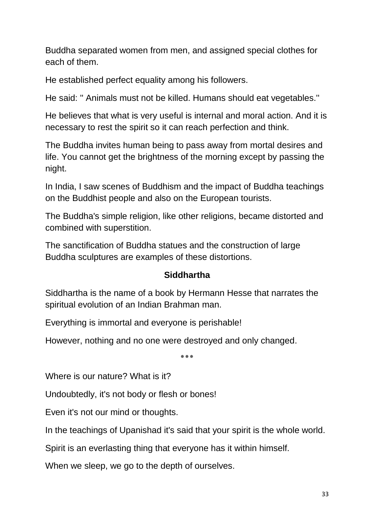Buddha separated women from men, and assigned special clothes for each of them.

He established perfect equality among his followers.

He said: '' Animals must not be killed. Humans should eat vegetables.''

He believes that what is very useful is internal and moral action. And it is necessary to rest the spirit so it can reach perfection and think.

The Buddha invites human being to pass away from mortal desires and life. You cannot get the brightness of the morning except by passing the night.

In India, I saw scenes of Buddhism and the impact of Buddha teachings on the Buddhist people and also on the European tourists.

The Buddha's simple religion, like other religions, became distorted and combined with superstition.

The sanctification of Buddha statues and the construction of large Buddha sculptures are examples of these distortions.

## **Siddhartha**

Siddhartha is the name of a book by Hermann Hesse that narrates the spiritual evolution of an Indian Brahman man.

Everything is immortal and everyone is perishable!

However, nothing and no one were destroyed and only changed.

**٭٭٭**

Where is our nature? What is it?

Undoubtedly, it's not body or flesh or bones!

Even it's not our mind or thoughts.

In the teachings of Upanishad it's said that your spirit is the whole world.

Spirit is an everlasting thing that everyone has it within himself.

When we sleep, we go to the depth of ourselves.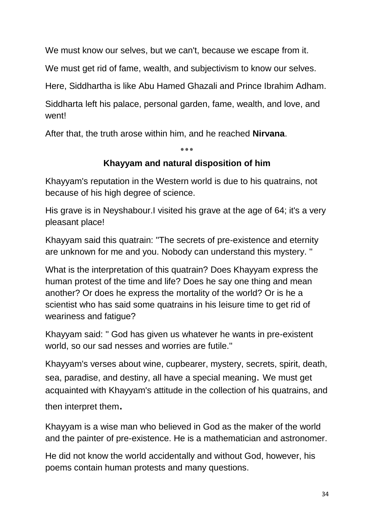We must know our selves, but we can't, because we escape from it.

We must get rid of fame, wealth, and subjectivism to know our selves.

Here, Siddhartha is like Abu Hamed Ghazali and Prince Ibrahim Adham.

Siddharta left his palace, personal garden, fame, wealth, and love, and went!

After that, the truth arose within him, and he reached **Nirvana**.

٭**٭٭**

# **Khayyam and natural disposition of him**

Khayyam's reputation in the Western world is due to his quatrains, not because of his high degree of science.

His grave is in Neyshabour.I visited his grave at the age of 64; it's a very pleasant place!

Khayyam said this quatrain: ''The secrets of pre-existence and eternity are unknown for me and you. Nobody can understand this mystery. ''

What is the interpretation of this quatrain? Does Khayyam express the human protest of the time and life? Does he say one thing and mean another? Or does he express the mortality of the world? Or is he a scientist who has said some quatrains in his leisure time to get rid of weariness and fatigue?

Khayyam said: '' God has given us whatever he wants in pre-existent world, so our sad nesses and worries are futile.''

Khayyam's verses about wine, cupbearer, mystery, secrets, spirit, death, sea, paradise, and destiny, all have a special meaning. We must get acquainted with Khayyam's attitude in the collection of his quatrains, and

then interpret them.

Khayyam is a wise man who believed in God as the maker of the world and the painter of pre-existence. He is a mathematician and astronomer.

He did not know the world accidentally and without God, however, his poems contain human protests and many questions.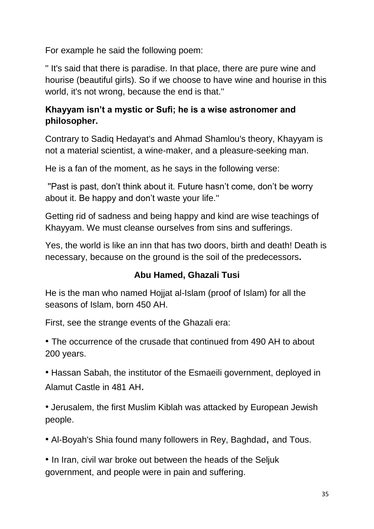For example he said the following poem:

'' It's said that there is paradise. In that place, there are pure wine and hourise (beautiful girls). So if we choose to have wine and hourise in this world, it's not wrong, because the end is that.''

# **Khayyam isn't a mystic or Sufi; he is a wise astronomer and philosopher.**

Contrary to Sadiq Hedayat's and Ahmad Shamlou's theory, Khayyam is not a material scientist, a wine-maker, and a pleasure-seeking man.

He is a fan of the moment, as he says in the following verse:

''Past is past, don't think about it. Future hasn't come, don't be worry about it. Be happy and don't waste your life.''

Getting rid of sadness and being happy and kind are wise teachings of Khayyam. We must cleanse ourselves from sins and sufferings.

Yes, the world is like an inn that has two doors, birth and death! Death is necessary, because on the ground is the soil of the predecessors**.**

# **Abu Hamed, Ghazali Tusi**

He is the man who named Hojjat al-Islam (proof of Islam) for all the seasons of Islam, born 450 AH.

First, see the strange events of the Ghazali era:

• The occurrence of the crusade that continued from 490 AH to about 200 years.

• Hassan Sabah, the institutor of the Esmaeili government, deployed in Alamut Castle in 481 AH.

• Jerusalem, the first Muslim Kiblah was attacked by European Jewish people.

• Al-Boyah's Shia found many followers in Rey, Baghdad, and Tous.

• In Iran, civil war broke out between the heads of the Seljuk government, and people were in pain and suffering.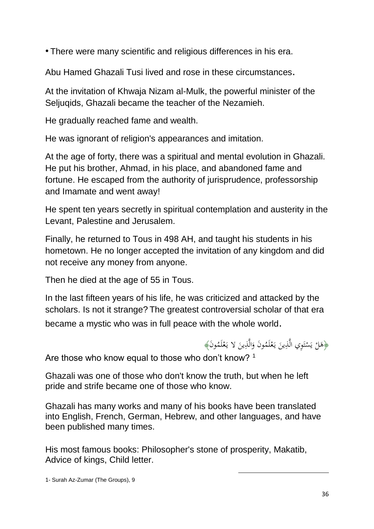• There were many scientific and religious differences in his era.

Abu Hamed Ghazali Tusi lived and rose in these circumstances.

At the invitation of Khwaja Nizam al-Mulk, the powerful minister of the Seljuqids, Ghazali became the teacher of the Nezamieh.

He gradually reached fame and wealth.

He was ignorant of religion's appearances and imitation.

At the age of forty, there was a spiritual and mental evolution in Ghazali. He put his brother, Ahmad, in his place, and abandoned fame and fortune. He escaped from the authority of jurisprudence, professorship and Imamate and went away!

He spent ten years secretly in spiritual contemplation and austerity in the Levant, Palestine and Jerusalem.

Finally, he returned to Tous in 498 AH, and taught his students in his hometown. He no longer accepted the invitation of any kingdom and did not receive any money from anyone.

Then he died at the age of 55 in Tous.

In the last fifteen years of his life, he was criticized and attacked by the scholars. Is not it strange? The greatest controversial scholar of that era became a mystic who was in full peace with the whole world.

﴿هَلْ يَسْتَوِي الَّذِينَ يَعْلَمُونَ وَالَّذِينَ لا يَعْلَمُونَ﴾<br>. ْ ب<br>: َ ٍ<br>ٍ Are those who know equal to those who don't know? 1

Ghazali was one of those who don't know the truth, but when he left pride and strife became one of those who know.

Ghazali has many works and many of his books have been translated into English, French, German, Hebrew, and other languages, and have been published many times.

His most famous books: Philosopher's stone of prosperity, Makatib, Advice of kings, Child letter.

أُمّ ت ا<br>ا ي  $\zeta$ 

ْ ب<br>:

1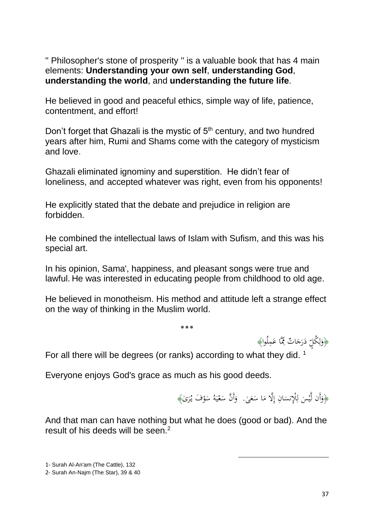'' Philosopher's stone of prosperity '' is a valuable book that has 4 main elements: **Understanding your own self**, **understanding God**, **understanding the world**, and **understanding the future life**.

He believed in good and peaceful ethics, simple way of life, patience, contentment, and effort!

Don't forget that Ghazali is the mystic of 5<sup>th</sup> century, and two hundred years after him, Rumi and Shams come with the category of mysticism and love.

Ghazali eliminated ignominy and superstition. He didn't fear of loneliness, and accepted whatever was right, even from his opponents!

He explicitly stated that the debate and prejudice in religion are forbidden.

He combined the intellectual laws of Islam with Sufism, and this was his special art.

In his opinion, Sama', happiness, and pleasant songs were true and lawful. He was interested in educating people from childhood to old age.

He believed in monotheism. His method and attitude left a strange effect on the way of thinking in the Muslim world.

٭**٭٭**

﴿وَلِكُلٍّ دَرَجَاتٌ مِّمَّا عَمِلُوا﴾<br>مسمد ِ َ  $\ddot{ }$ ِ ل َ

For all there will be degrees (or ranks) according to what they did.  $1$ 

Everyone enjoys God's grace as much as his good deeds.

﴿وَأَن لَّيْسَ لِلْإِنسَانِ إِلَّا مَا سَعَىٰ. ۚ وَأَنَّ سَعْيَهُ سَوْفَ يُرَىٰ﴾  $\overline{a}$  $\overline{\phantom{a}}$ إ  $\ddot{\phantom{0}}$ <u>ا</u> ل .<br>-ي َ ر<br>. **ٔ**  $\ddot{\phantom{0}}$ ا<br>ا ي ْ  $\ddot{\phantom{0}}$ َ

1

And that man can have nothing but what he does (good or bad). And the result of his deeds will be seen.<sup>2</sup>

<sup>1-</sup> Surah Al-An'am (The Cattle), 132

<sup>2-</sup> Surah An-Najm (The Star), 39 & 40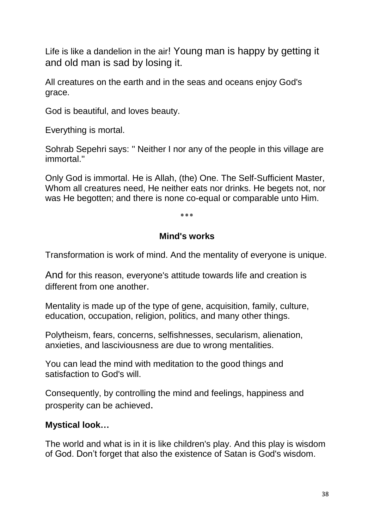Life is like a dandelion in the air! Young man is happy by getting it and old man is sad by losing it.

All creatures on the earth and in the seas and oceans enjoy God's grace.

God is beautiful, and loves beauty.

Everything is mortal.

Sohrab Sepehri says: '' Neither I nor any of the people in this village are immortal.''

Only God is immortal. He is Allah, (the) One. The Self-Sufficient Master, Whom all creatures need, He neither eats nor drinks. He begets not, nor was He begotten; and there is none co-equal or comparable unto Him.

**بر ∠و ∠و** 

#### **Mind's works**

Transformation is work of mind. And the mentality of everyone is unique.

And for this reason, everyone's attitude towards life and creation is different from one another.

Mentality is made up of the type of gene, acquisition, family, culture, education, occupation, religion, politics, and many other things.

Polytheism, fears, concerns, selfishnesses, secularism, alienation, anxieties, and lasciviousness are due to wrong mentalities.

You can lead the mind with meditation to the good things and satisfaction to God's will.

Consequently, by controlling the mind and feelings, happiness and prosperity can be achieved.

## **Mystical look…**

The world and what is in it is like children's play. And this play is wisdom of God. Don't forget that also the existence of Satan is God's wisdom.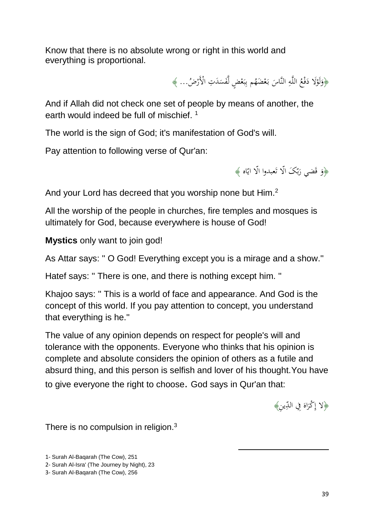Know that there is no absolute wrong or right in this world and everything is proportional.

> ﴿وَلَوْلَا دَفْعُ اللَّهِ النَّاسَ بَعْضَهُم بِبَعْضٍ لَّفَسَدَتِ الْأَرْضُ... ﴾  $\ddot{ }$ ،<br>. َ ً<br>أ  $\ddot{\phantom{0}}$ ْ .<br>: ب ِ<br>ب اب<br>ا <u>َ</u> ِ<br>ٍہ

And if Allah did not check one set of people by means of another, the earth would indeed be full of mischief.  $1$ 

The world is the sign of God; it's manifestation of God's will.

Pay attention to following verse of Qur'an:

ن<br>ا ﴿وَ قَضي رَبّكَ الّا تَعبدوا الّا ايّاه ﴾ ب<br>ب َ َ

And your Lord has decreed that you worship none but Him.<sup>2</sup>

All the worship of the people in churches, fire temples and mosques is ultimately for God, because everywhere is house of God!

**Mystics** only want to join god!

As Attar says: '' O God! Everything except you is a mirage and a show.''

Hatef says: '' There is one, and there is nothing except him. ''

Khajoo says: '' This is a world of face and appearance. And God is the concept of this world. If you pay attention to concept, you understand that everything is he.''

The value of any opinion depends on respect for people's will and tolerance with the opponents. Everyone who thinks that his opinion is complete and absolute considers the opinion of others as a futile and absurd thing, and this person is selfish and lover of his thought.You have to give everyone the right to choose. God says in Qur'an that:

1

﴿لا إِكْرَاهَ فِي الدِّينِ﴾ َ َ

There is no compulsion in religion. $3$ 

1- Surah Al-Baqarah (The Cow), 251

2- Surah Al-Isra' (The Journey by Night), 23

3- Surah Al-Baqarah (The Cow), 256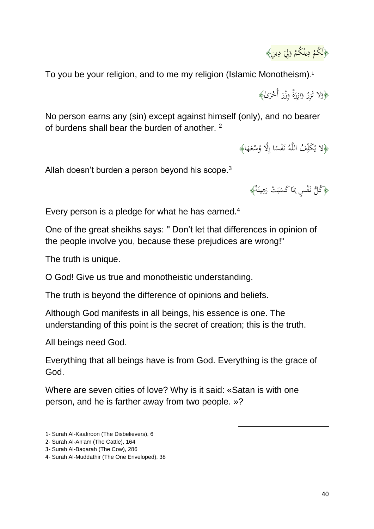

To you be your religion, and to me my religion (Islamic Monotheism). 1

﴿وَلا تَزِرُ وَازِرَةٌ وِزْرَ أُحْرَىٰ﴾ ر<br>ا ْ َ َ َ

No person earns any (sin) except against himself (only), and no bearer of burdens shall bear the burden of another. <sup>2</sup>

> ِّوْلا يُكَلِّفُ اللَّهُ نَفْسًا إِلَّا وُسْعَهَا﴾ ِ  $\epsilon$ َ **ـ** ا

Allah doesn't burden a person beyond his scope.<sup>3</sup>

﴿ كُلُّ نَفْسٍ بِمَا كَسَبَتْ رَهِينَةٌ﴾ نہ<br>نا ِ َ ب  $\overline{a}$  $\overline{\phantom{0}}$ ِ ُ<br>مُ

Every person is a pledge for what he has earned. $4$ 

One of the great sheikhs says: '' Don't let that differences in opinion of the people involve you, because these prejudices are wrong!''

The truth is unique.

O God! Give us true and monotheistic understanding.

The truth is beyond the difference of opinions and beliefs.

Although God manifests in all beings, his essence is one. The understanding of this point is the secret of creation; this is the truth.

All beings need God.

Everything that all beings have is from God. Everything is the grace of God.

1

Where are seven cities of love? Why is it said: «Satan is with one person, and he is farther away from two people. »?

<sup>1-</sup> Surah Al-Kaafiroon (The Disbelievers), 6

<sup>2-</sup> Surah Al-An'am (The Cattle), 164

<sup>3-</sup> Surah Al-Baqarah (The Cow), 286

<sup>4-</sup> Surah Al-Muddathir (The One Enveloped), 38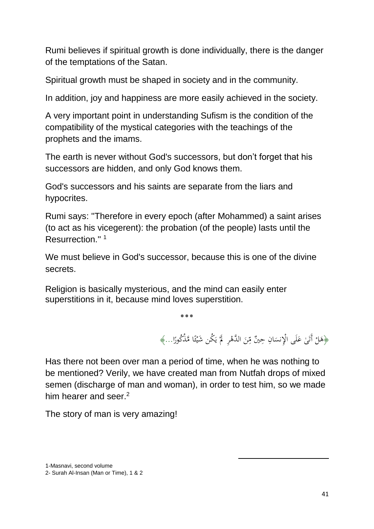Rumi believes if spiritual growth is done individually, there is the danger of the temptations of the Satan.

Spiritual growth must be shaped in society and in the community.

In addition, joy and happiness are more easily achieved in the society.

A very important point in understanding Sufism is the condition of the compatibility of the mystical categories with the teachings of the prophets and the imams.

The earth is never without God's successors, but don't forget that his successors are hidden, and only God knows them.

God's successors and his saints are separate from the liars and hypocrites.

Rumi says: ''Therefore in every epoch (after Mohammed) a saint arises (to act as his vicegerent): the probation (of the people) lasts until the Resurrection."<sup>1</sup>

We must believe in God's successor, because this is one of the divine secrets.

Religion is basically mysterious, and the mind can easily enter superstitions in it, because mind loves superstition.

> ٭**٭٭** ﴿هَلْ أَتَىٰ عَلَى الْإِنسَانِ حِينٌ مِّنَ الدَّهْرِ ۖ لَمْ يَكُن شَيْئًا مَّذْكُورًا…﴾ ء<br>م ان ما .<br>. يا<br>. ي **S**  $\ddot{\rm}$ َ ِ<br>مُ  $\ddot{\phantom{0}}$ **ک ٔ**

> > 1

Has there not been over man a period of time, when he was nothing to be mentioned? Verily, we have created man from Nutfah drops of mixed semen (discharge of man and woman), in order to test him, so we made him hearer and seer.<sup>2</sup>

The story of man is very amazing!

<sup>1</sup>-Masnavi, second volume

<sup>2-</sup> Surah Al-Insan (Man or Time), 1 & 2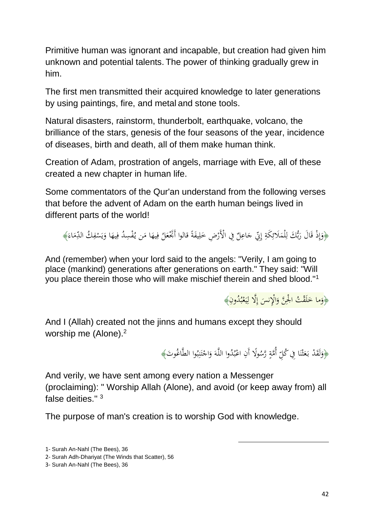Primitive human was ignorant and incapable, but creation had given him unknown and potential talents. The power of thinking gradually grew in him.

The first men transmitted their acquired knowledge to later generations by using paintings, fire, and metal and stone tools.

Natural disasters, rainstorm, thunderbolt, earthquake, volcano, the brilliance of the stars, genesis of the four seasons of the year, incidence of diseases, birth and death, all of them make human think.

Creation of Adam, prostration of angels, marriage with Eve, all of these created a new chapter in human life.

Some commentators of the Qur'an understand from the following verses that before the advent of Adam on the earth human beings lived in different parts of the world!

﴿وَإِذْ قَالَ رَبُّكَ لِلْمَلَائِكَةِ إِنِّي حَاعِلٌ فِي الْأَرْضِ خَلِيفَةً قالوا أَبَّخْعَلُ فِيهَا مَن يُفْسِدُ فِيهَا وَيَسْفِكُ الدِّمَاءَ﴾ ِل َ .<br>.<br>. َ إ  $\ddot{a}$ ِ<br>ئ َ ا بر<br>بد َ َ ِ إ َ  $\overline{\phantom{a}}$ َ ٍ<br>في َ  $\overline{a}$ ِ ْ ي َ َ ِ

And (remember) when your lord said to the angels: "Verily, I am going to place (mankind) generations after generations on earth." They said: "Will you place therein those who will make mischief therein and shed blood.''<sup>1</sup>

> ﴿وَما خَلَقْتُ الْجِنَّ وَالْإِنسَ إِلَّا لِيَعْبُدُونِ﴾ ب **ٔ** ان<br>ا ي ِ<br>ل إ .<br>-َ .<br>ك َ َ

And I (Allah) created not the jinns and humans except they should worship me (Alone).<sup>2</sup>

> ﴿وَلَقَدْ بَعَثْنَا فِي كُلِّ أُمَّةٍ رَّسُولًا أَنِ اعْبُدُوا اللَّهَ وَاجْتَنِبُوا الطَّاغُوتَ﴾ ب ِ :<br>: ڹ ت ْ َ َ ب ر<br>د  $\ddot{a}$ .<br>. ن :<br>; ث **ٔ** اب<br>ا

> > 1

And verily, we have sent among every nation a Messenger (proclaiming): " Worship Allah (Alone), and avoid (or keep away from) all false deities."<sup>3</sup>

The purpose of man's creation is to worship God with knowledge.

<sup>1-</sup> Surah An-Nahl (The Bees), 36

<sup>2-</sup> Surah Adh-Dhariyat (The Winds that Scatter), 56

<sup>3-</sup> Surah An-Nahl (The Bees), 36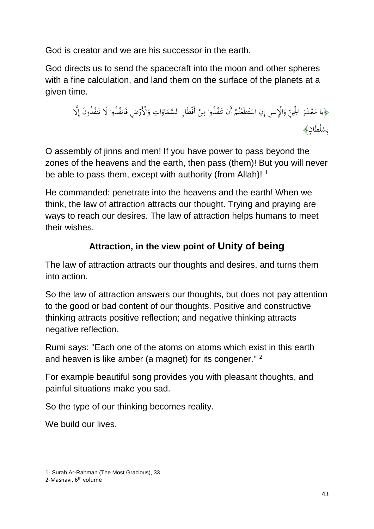God is creator and we are his successor in the earth.

God directs us to send the spacecraft into the moon and other spheres with a fine calculation, and land them on the surface of the planets at a given time.

﴿يا مَعْشَرَ الْجِنِّ وَالْإِنسِ إِنِ اسْتَطَعْتُمْ أَن تَنفُذُوا مِنْ أَقْطَارِ السَّمَاوَاتِ وَالْأَرْضِ فَانفُذُوا لَا تَنفُذُونَ إِلَّا .<br>ف َ ا َ  $\overline{\phantom{a}}$ ْ ∕. ن<br>ا ْ و<br>ته **ٔ** ت **ٔ** َ ر<br>.  $\overline{\phantom{a}}$ ن<br>ن بِسُلْطَانٍ﴾<br>ـ

O assembly of jinns and men! If you have power to pass beyond the zones of the heavens and the earth, then pass (them)! But you will never be able to pass them, except with authority (from Allah)!  $1$ 

He commanded: penetrate into the heavens and the earth! When we think, the law of attraction attracts our thought. Trying and praying are ways to reach our desires. The law of attraction helps humans to meet their wishes.

# **Attraction, in the view point of Unity of being**

The law of attraction attracts our thoughts and desires, and turns them into action.

So the law of attraction answers our thoughts, but does not pay attention to the good or bad content of our thoughts. Positive and constructive thinking attracts positive reflection; and negative thinking attracts negative reflection.

Rumi says: ''Each one of the atoms on atoms which exist in this earth and heaven is like amber (a magnet) for its congener."<sup>2</sup>

For example beautiful song provides you with pleasant thoughts, and painful situations make you sad.

1

So the type of our thinking becomes reality.

We build our lives.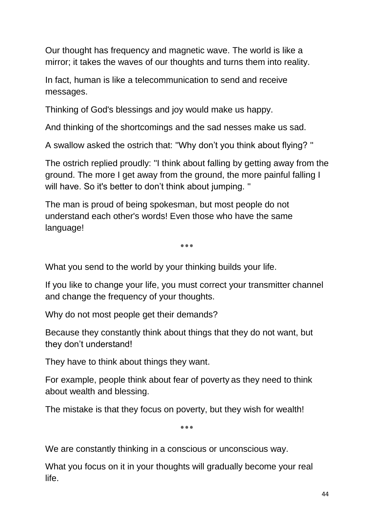Our thought has frequency and magnetic wave. The world is like a mirror; it takes the waves of our thoughts and turns them into reality.

In fact, human is like a telecommunication to send and receive messages.

Thinking of God's blessings and joy would make us happy.

And thinking of the shortcomings and the sad nesses make us sad.

A swallow asked the ostrich that: ''Why don't you think about flying? ''

The ostrich replied proudly: ''I think about falling by getting away from the ground. The more I get away from the ground, the more painful falling I will have. So it's better to don't think about jumping. "

The man is proud of being spokesman, but most people do not understand each other's words! Even those who have the same language!

٭**٭٭**

What you send to the world by your thinking builds your life.

If you like to change your life, you must correct your transmitter channel and change the frequency of your thoughts.

Why do not most people get their demands?

Because they constantly think about things that they do not want, but they don't understand!

They have to think about things they want.

For example, people think about fear of poverty as they need to think about wealth and blessing.

The mistake is that they focus on poverty, but they wish for wealth!

٭**٭٭**

We are constantly thinking in a conscious or unconscious way.

What you focus on it in your thoughts will gradually become your real life.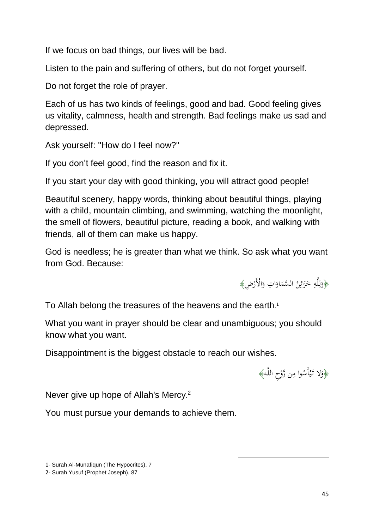If we focus on bad things, our lives will be bad.

Listen to the pain and suffering of others, but do not forget yourself.

Do not forget the role of prayer.

Each of us has two kinds of feelings, good and bad. Good feeling gives us vitality, calmness, health and strength. Bad feelings make us sad and depressed.

Ask yourself: ''How do I feel now?''

If you don't feel good, find the reason and fix it.

If you start your day with good thinking, you will attract good people!

Beautiful scenery, happy words, thinking about beautiful things, playing with a child, mountain climbing, and swimming, watching the moonlight, the smell of flowers, beautiful picture, reading a book, and walking with friends, all of them can make us happy.

God is needless; he is greater than what we think. So ask what you want from God. Because:

> ﴿وَلِلَّهِ خَزَائِنُ السَّمَاوَاتِ وَالْأَرْضِ﴾ َ ا َ  $\overline{\phantom{a}}$ ِ<br>ئې َ َ ِ ڶ ل َ

To Allah belong the treasures of the heavens and the earth. 1

What you want in prayer should be clear and unambiguous; you should know what you want.

Disappointment is the biggest obstacle to reach our wishes.

﴿وَلا تَيْأَسُوا مِن رَّوْحِ اللَّهِ﴾ ֦֘ <u>ٔ</u> ِ **ٔ** ي

1

Never give up hope of Allah's Mercy. 2

You must pursue your demands to achieve them.

1- Surah Al-Munafiqun (The Hypocrites), 7

2- Surah Yusuf (Prophet Joseph), 87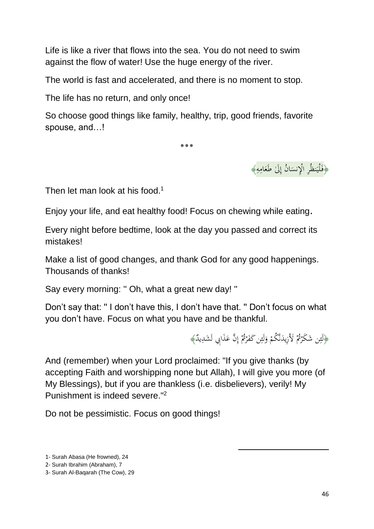Life is like a river that flows into the sea. You do not need to swim against the flow of water! Use the huge energy of the river.

The world is fast and accelerated, and there is no moment to stop.

The life has no return, and only once!

So choose good things like family, healthy, trip, good friends, favorite spouse, and…!

٭**٭٭**



Then let man look at his food.<sup>1</sup>

Enjoy your life, and eat healthy food! Focus on chewing while eating.

Every night before bedtime, look at the day you passed and correct its mistakes!

Make a list of good changes, and thank God for any good happenings. Thousands of thanks!

Say every morning: '' Oh, what a great new day! ''

Don't say that: '' I don't have this, I don't have that. '' Don't focus on what you don't have. Focus on what you have and be thankful.

> ﴿لَئِن شَكَرْتُمْ لَأَزِيدَنَّكُمْ وَلَئِن كَفَرْتُمْ إِنَّ عَذَابِي لَشَدِيدٌ﴾ ِ<br>ش <sup>1</sup> ً<br>-.<br>.<br>. **ء** اٍ ا ر<br>ا ِ<br>ش َ

> > 1

And (remember) when your Lord proclaimed: "If you give thanks (by accepting Faith and worshipping none but Allah), I will give you more (of My Blessings), but if you are thankless (i.e. disbelievers), verily! My Punishment is indeed severe."<sup>2</sup>

Do not be pessimistic. Focus on good things!

1- Surah Abasa (He frowned), 24

<sup>2-</sup> Surah Ibrahim (Abraham), 7

<sup>3-</sup> Surah Al-Baqarah (The Cow), 29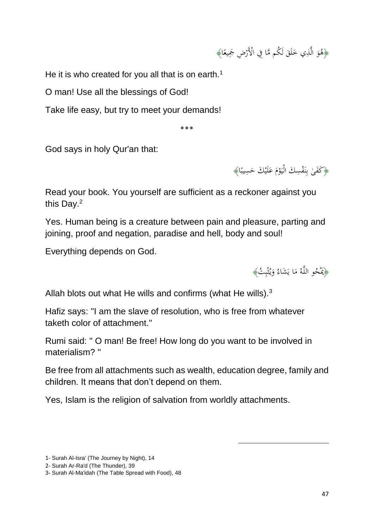﴿هُوَ الَّذِي خَلَقَ لَكُم مَّا فِي الْأَرْضِ جَمِيعًا﴾ .<br>أ َ َ م<br>ر

He it is who created for you all that is on earth.<sup>1</sup>

O man! Use all the blessings of God!

Take life easy, but try to meet your demands!

٭**٭٭**

God says in holy Qur'an that:

﴿كَفَىٰ بِنَفْسِكَ الْيَوْمَ عَلَيْكَ حَسِيبًا﴾ ر<br>د َ ،<br>. با<br>پا ن ِ<br>با ب  $\overline{a}$ 

Read your book. You yourself are sufficient as a reckoner against you this Day.<sup>2</sup>

Yes. Human being is a creature between pain and pleasure, parting and joining, proof and negation, paradise and hell, body and soul!

Everything depends on God.



Allah blots out what He wills and confirms (what He wills). $3$ 

Hafiz says: ''I am the slave of resolution, who is free from whatever taketh color of attachment.''

Rumi said: '' O man! Be free! How long do you want to be involved in materialism? ''

Be free from all attachments such as wealth, education degree, family and children. It means that don't depend on them.

1

Yes, Islam is the religion of salvation from worldly attachments.

<sup>1-</sup> Surah Al-Isra' (The Journey by Night), 14

<sup>2-</sup> Surah Ar-Ra'd (The Thunder), 39

<sup>3-</sup> Surah Al-Ma'idah (The Table Spread with Food), 48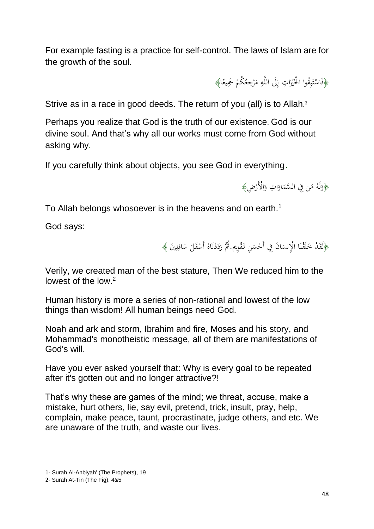For example fasting is a practice for self-control. The laws of Islam are for the growth of the soul.

> ﴿فَاسْتَبِقُوا الْحَيْرَاتِ إِلَى اللَّهِ مَرْجِعُكُمْ جَمِيعًا﴾ ْ ام<br>ا ِ اٍ<br>∙ ا  $\overline{a}$ ْ ِ ب ن<br>أ ت ْ

Strive as in a race in good deeds. The return of you (all) is to Allah.<sup>3</sup>

Perhaps you realize that God is the truth of our existence. God is our divine soul. And that's why all our works must come from God without asking why.

If you carefully think about objects, you see God in everything.



To Allah belongs whosoever is in the heavens and on earth.<sup>1</sup>

God says:

﴿لَقَدْ خَلَقْنَا الْإِنسَانَ فِي أَحْسَنِ تَقْوِيم. ثُمَّ رَدَدْنَاهُ أَسْفَلَ سَافِلِينَ ﴾  $\overline{a}$  $\ddot{\phantom{0}}$ .<br>. ن .<br>كم َ .<br>ك ِ ِ  $\ddot{\phantom{0}}$  $\overline{\phantom{0}}$ **ٔ** .<br>نا ن <u>:</u>  $\ddot{ }$ َ

1

Verily, we created man of the best stature, Then We reduced him to the lowest of the low.<sup>2</sup>

Human history is more a series of non-rational and lowest of the low things than wisdom! All human beings need God.

Noah and ark and storm, Ibrahim and fire, Moses and his story, and Mohammad's monotheistic message, all of them are manifestations of God's will.

Have you ever asked yourself that: Why is every goal to be repeated after it's gotten out and no longer attractive?!

That's why these are games of the mind; we threat, accuse, make a mistake, hurt others, lie, say evil, pretend, trick, insult, pray, help, complain, make peace, taunt, procrastinate, judge others, and etc. We are unaware of the truth, and waste our lives.

1- Surah Al-Anbiyah' (The Prophets), 19

2- Surah At-Tin (The Fig), 4&5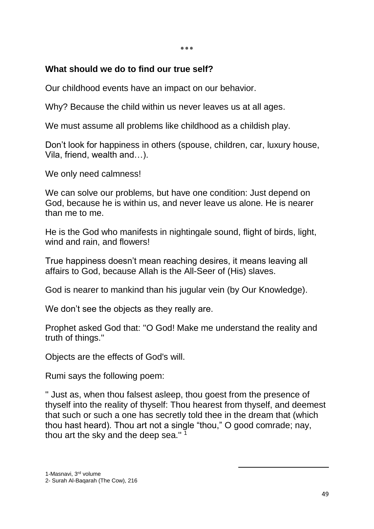٭**٭٭**

#### **What should we do to find our true self?**

Our childhood events have an impact on our behavior.

Why? Because the child within us never leaves us at all ages.

We must assume all problems like childhood as a childish play.

Don't look for happiness in others (spouse, children, car, luxury house, Vila, friend, wealth and…).

We only need calmness!

We can solve our problems, but have one condition: Just depend on God, because he is within us, and never leave us alone. He is nearer than me to me.

He is the God who manifests in nightingale sound, flight of birds, light, wind and rain, and flowers!

True happiness doesn't mean reaching desires, it means leaving all affairs to God, because Allah is the All-Seer of (His) slaves.

God is nearer to mankind than his jugular vein (by Our Knowledge).

We don't see the objects as they really are.

Prophet asked God that: ''O God! Make me understand the reality and truth of things.''

Objects are the effects of God's will.

Rumi says the following poem:

'' Just as, when thou falsest asleep, thou goest from the presence of thyself into the reality of thyself: Thou hearest from thyself, and deemest that such or such a one has secretly told thee in the dream that (which thou hast heard). Thou art not a single "thou," O good comrade; nay, thou art the sky and the deep sea."<sup>1</sup>

1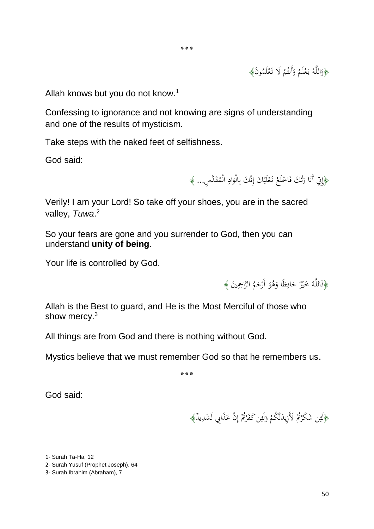﴿وَاللَّهُ يَعْلَمُ وَأَنتُمْ لَا تَعْلَمُونَ﴾ ْ ْ َ **ٔ** .<br>: َ

Allah knows but you do not know.<sup>1</sup>

Confessing to ignorance and not knowing are signs of understanding and one of the results of mysticism.

Take steps with the naked feet of selfishness.

God said:

﴿إِنِّي أَنَا رَبُّكَ فَاخْلَعْ نَعْلَيْكَ إِنَّكَ بِالْوَادِ الْمُقَدَّسِ... ﴾ **∶** َ ِ<br>ب ِ **ٔ**  $\zeta$ ْ .<br>ئ بر<br>بد َ ُنا<br>ا

Verily! I am your Lord! So take off your shoes, you are in the sacred valley, *Tuwa*. 2

So your fears are gone and you surrender to God, then you can understand **unity of being**.

Your life is controlled by God.

﴿فَاللَّهُ خَيْرٌ حَافِظًا وَهُوَ أَرْحَمُ الرَّاحِمِينَ ﴾ َ <u>و</u> َ ِ َ

Allah is the Best to guard, and He is the Most Merciful of those who show mercy.<sup>3</sup>

All things are from God and there is nothing without God.

Mystics believe that we must remember God so that he remembers us.

**٭٭**٭

God said:

﴿لَئِن شَكَرْتُمْ لَأَزِيدَنَّكُمْ وَلَئِن كَفَرْتُمْ إِنَّ عَذَابِي لَشَدِيدٌ﴾  $\overline{\phantom{a}}$ .<br>.<br>. ِ<br>مُ ي ر<br>گ ِ ر<br>أ ِ َ

1

1- Surah Ta-Ha, 12

<sup>2-</sup> Surah Yusuf (Prophet Joseph), 64

<sup>3-</sup> Surah Ibrahim (Abraham), 7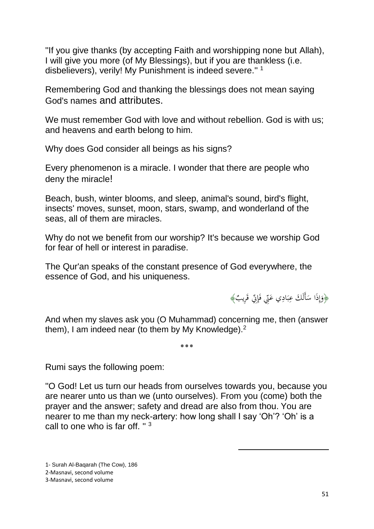''If you give thanks (by accepting Faith and worshipping none but Allah), I will give you more (of My Blessings), but if you are thankless (i.e. disbelievers), verily! My Punishment is indeed severe."<sup>1</sup>

Remembering God and thanking the blessings does not mean saying God's names and attributes.

We must remember God with love and without rebellion. God is with us; and heavens and earth belong to him.

Why does God consider all beings as his signs?

Every phenomenon is a miracle. I wonder that there are people who deny the miracle!

Beach, bush, winter blooms, and sleep, animal's sound, bird's flight, insects' moves, sunset, moon, stars, swamp, and wonderland of the seas, all of them are miracles.

Why do not we benefit from our worship? It's because we worship God for fear of hell or interest in paradise.

The Qur'an speaks of the constant presence of God everywhere, the essence of God, and his uniqueness.

> ﴿وَإِذَا سَأَلَكَ عِبَادِي عَنِّي فَإِنِّي قَرِيبٌ﴾ ة<br>م :<br>أ ر<br>د  $\ddot{\cdot}$ ب  $\overline{a}$ ِ إ َ

And when my slaves ask you (O Muhammad) concerning me, then (answer them), I am indeed near (to them by My Knowledge).<sup>2</sup>

٭**٭٭**

Rumi says the following poem:

''O God! Let us turn our heads from ourselves towards you, because you are nearer unto us than we (unto ourselves). From you (come) both the prayer and the answer; safety and dread are also from thou. You are nearer to me than my neck-artery: how long shall I say 'Oh'? 'Oh' is a call to one who is far off.  $" 3$ 

1

1- Surah Al-Baqarah (The Cow), 186 2-Masnavi, second volume 3-Masnavi, second volume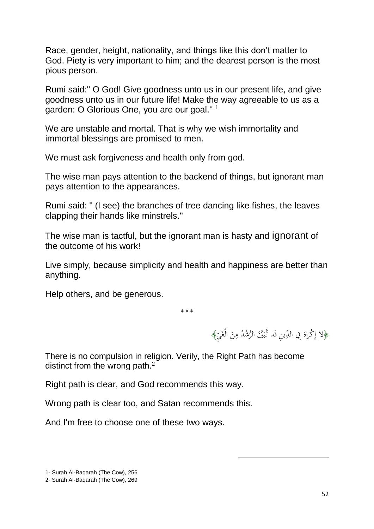Race, gender, height, nationality, and things like this don't matter to God. Piety is very important to him; and the dearest person is the most pious person.

Rumi said:'' O God! Give goodness unto us in our present life, and give goodness unto us in our future life! Make the way agreeable to us as a garden: O Glorious One, you are our goal.'' <sup>1</sup>

We are unstable and mortal. That is why we wish immortality and immortal blessings are promised to men.

We must ask forgiveness and health only from god.

The wise man pays attention to the backend of things, but ignorant man pays attention to the appearances.

Rumi said: '' (I see) the branches of tree dancing like fishes, the leaves clapping their hands like minstrels.''

The wise man is tactful, but the ignorant man is hasty and ignorant of the outcome of his work!

Live simply, because simplicity and health and happiness are better than anything.

Help others, and be generous.

٭**٭٭**

﴿لاَ إِكْرَاهَ فِي الدِّينِ قَد تَّبَيَّنَ الرُّشْدُ مِنَ الْغَيِّ﴾ َ َ ِ<br>ِإِ إ .<br>أ َ  $\overline{a}$  $\ddot{\phantom{0}}$ 

1

There is no compulsion in religion. Verily, the Right Path has become distinct from the wrong path.<sup>2</sup>

Right path is clear, and God recommends this way.

Wrong path is clear too, and Satan recommends this.

And I'm free to choose one of these two ways.

<sup>1-</sup> Surah Al-Baqarah (The Cow), 256

<sup>2-</sup> Surah Al-Baqarah (The Cow), 269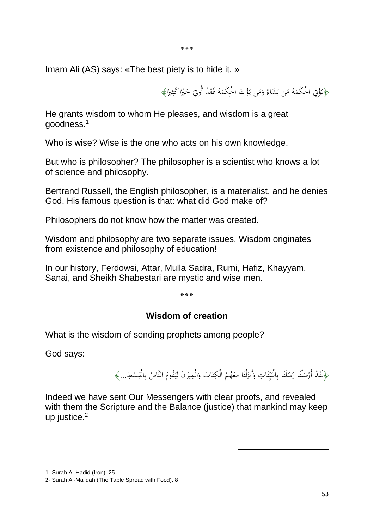٭**٭٭**

Imam Ali (AS) says: «The best piety is to hide it. »

﴿يُؤْتِي الْحِكْمَةَ مَن يَشَاءُ وَمَن يُؤْتَ الْحِكْمَةَ فَقَدْ أُوتٍيَ خَيْرًا كَثِيرًا﴾  $\overline{\phantom{a}}$  $\overline{\phantom{a}}$ ة<br>م ا  $\ddot{z}$ ا ا ْ  $\zeta$ <u>ة</u>  $\overline{a}$  $\overline{\phantom{a}}$ َ

He grants wisdom to whom He pleases, and wisdom is a great goodness.<sup>1</sup>

Who is wise? Wise is the one who acts on his own knowledge.

But who is philosopher? The philosopher is a scientist who knows a lot of science and philosophy.

Bertrand Russell, the English philosopher, is a materialist, and he denies God. His famous question is that: what did God make of?

Philosophers do not know how the matter was created.

Wisdom and philosophy are two separate issues. Wisdom originates from existence and philosophy of education!

In our history, Ferdowsi, Attar, Mulla Sadra, Rumi, Hafiz, Khayyam, Sanai, and Sheikh Shabestari are mystic and wise men.

٭**٭٭**

## **Wisdom of creation**

What is the wisdom of sending prophets among people?

God says:

﴿لَقَدْ أَرْسَلْنَا رُسُلَنَا بِالْبَيِّنَاتِ وَأَنزَلْنَا مَعَهُمُ الْكِتَابَ وَالْمِيزَانَ لِيَقُومَ النَّاسُ بِالْقِسْطِ...﴾ ्<br>∧ **ٔ** ت َ  $\overline{\phantom{a}}$ .<br>. زا<br>نر َ .<br>. ن ن<br>پا ي  $\ddot{\cdot}$ ِ .<br>. .<br>.  $\ddot{\phantom{0}}$ ِ<br>ب ب َ ا<br>ا ي ؚ<br>ٳ ا زا<br>ن ْ

1

Indeed we have sent Our Messengers with clear proofs, and revealed with them the Scripture and the Balance (justice) that mankind may keep up justice. 2

1- Surah Al-Hadid (Iron), 25

<sup>2-</sup> Surah Al-Ma'idah (The Table Spread with Food), 8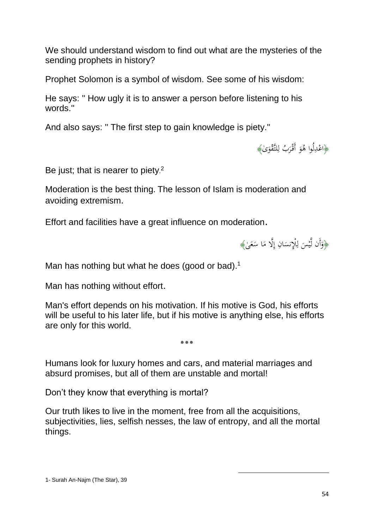We should understand wisdom to find out what are the mysteries of the sending prophets in history?

Prophet Solomon is a symbol of wisdom. See some of his wisdom:

He says: '' How ugly it is to answer a person before listening to his words.''

And also says: '' The first step to gain knowledge is piety.''

﴿اعْدِلُوا هُوَ أَقْرَبُ لِلتَّقْوَىٰ﴾ َ م<br>ر J

Be just; that is nearer to piety.<sup>2</sup>

Moderation is the best thing. The lesson of Islam is moderation and avoiding extremism.

Effort and facilities have a great influence on moderation.

﴿وَأَن لَّيْسَ لِلْإِنسَانِ إِلَّا مَا سَعَىٰ﴾  $\ddot{\phantom{0}}$  $\overline{\phantom{a}}$ إ  $\overline{a}$ ِ ل .<br>-ي َ

Man has nothing but what he does (good or bad).<sup>1</sup>

Man has nothing without effort.

Man's effort depends on his motivation. If his motive is God, his efforts will be useful to his later life, but if his motive is anything else, his efforts are only for this world.

٭**٭٭**

Humans look for luxury homes and cars, and material marriages and absurd promises, but all of them are unstable and mortal!

Don't they know that everything is mortal?

Our truth likes to live in the moment, free from all the acquisitions, subjectivities, lies, selfish nesses, the law of entropy, and all the mortal things.

1

1- Surah An-Najm (The Star), 39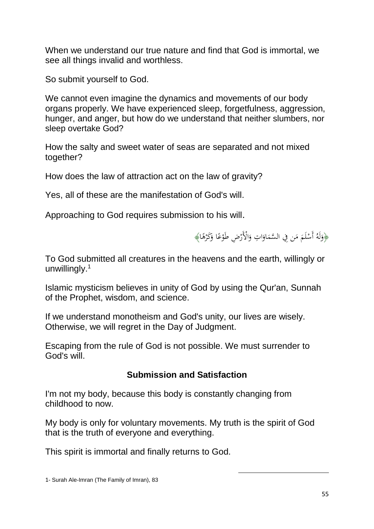When we understand our true nature and find that God is immortal, we see all things invalid and worthless.

So submit yourself to God.

We cannot even imagine the dynamics and movements of our body organs properly. We have experienced sleep, forgetfulness, aggression, hunger, and anger, but how do we understand that neither slumbers, nor sleep overtake God?

How the salty and sweet water of seas are separated and not mixed together?

How does the law of attraction act on the law of gravity?

Yes, all of these are the manifestation of God's will.

Approaching to God requires submission to his will.

﴿وَلَهُ أَسْلَمَ مَن فِي السَّمَاوَاتِ وَالْأَرْضِ طَوْعًا وَكَرْهًا﴾ <u>ٔ</u> َ د<br>ا ،<br>' .<br>.<br>. َ ا َ  $\overline{\phantom{a}}$ ام<br>ا ا **ٔ** َ

To God submitted all creatures in the heavens and the earth, willingly or unwillingly.<sup>1</sup>

Islamic mysticism believes in unity of God by using the Qur'an, Sunnah of the Prophet, wisdom, and science.

If we understand monotheism and God's unity, our lives are wisely. Otherwise, we will regret in the Day of Judgment.

Escaping from the rule of God is not possible. We must surrender to God's will.

# **Submission and Satisfaction**

I'm not my body, because this body is constantly changing from childhood to now.

My body is only for voluntary movements. My truth is the spirit of God that is the truth of everyone and everything.

1

This spirit is immortal and finally returns to God.

<sup>1-</sup> Surah Ale-Imran (The Family of Imran), 83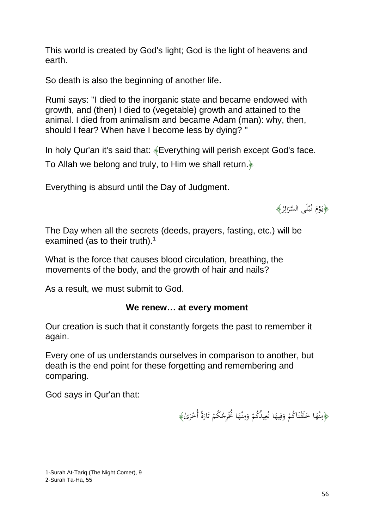This world is created by God's light; God is the light of heavens and earth.

So death is also the beginning of another life.

Rumi says: ''I died to the inorganic state and became endowed with growth, and (then) I died to (vegetable) growth and attained to the animal. I died from animalism and became Adam (man): why, then, should I fear? When have I become less by dying? ''

In holy Qur'an it's said that: «Everything will perish except God's face. To Allah we belong and truly, to Him we shall return.﴿

Everything is absurd until the Day of Judgment.



The Day when all the secrets (deeds, prayers, fasting, etc.) will be examined (as to their truth).<sup>1</sup>

What is the force that causes blood circulation, breathing, the movements of the body, and the growth of hair and nails?

As a result, we must submit to God.

#### **We renew… at every moment**

Our creation is such that it constantly forgets the past to remember it again.

Every one of us understands ourselves in comparison to another, but death is the end point for these forgetting and remembering and comparing.

God says in Qur'an that:

﴿مِنْهَا خَلَقْنَاكُمْ وَفِيهَا نُعِيدُكُمْ وَمِنْهَا نُخْرِجُكُمْ تَارَةً أُحْرَىٰ﴾ ِ َ <sup>t</sup> .<br>. ن .<br>في َ  $\Leftrightarrow$ ن ∕' ً<br>ن ْ َ .<br>أ ت ْ  $\epsilon$ ن ِ<br>ِم َ ْ ِ  $\epsilon$ 

1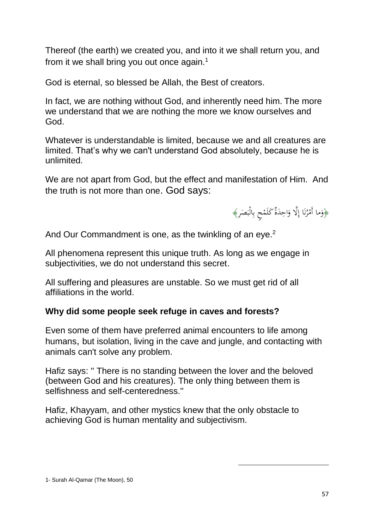Thereof (the earth) we created you, and into it we shall return you, and from it we shall bring you out once again.<sup>1</sup>

God is eternal, so blessed be Allah, the Best of creators.

In fact, we are nothing without God, and inherently need him. The more we understand that we are nothing the more we know ourselves and God.

Whatever is understandable is limited, because we and all creatures are limited. That's why we can't understand God absolutely, because he is unlimited.

We are not apart from God, but the effect and manifestation of Him. And the truth is not more than one. God says:



And Our Commandment is one, as the twinkling of an eye.<sup>2</sup>

All phenomena represent this unique truth. As long as we engage in subjectivities, we do not understand this secret.

All suffering and pleasures are unstable. So we must get rid of all affiliations in the world.

# **Why did some people seek refuge in caves and forests?**

Even some of them have preferred animal encounters to life among humans, but isolation, living in the cave and jungle, and contacting with animals can't solve any problem.

Hafiz says: '' There is no standing between the lover and the beloved (between God and his creatures). The only thing between them is selfishness and self-centeredness.''

1

Hafiz, Khayyam, and other mystics knew that the only obstacle to achieving God is human mentality and subjectivism.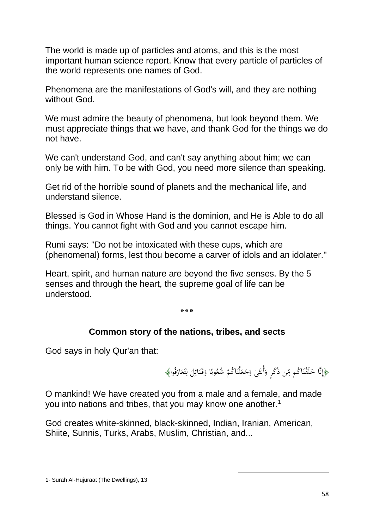The world is made up of particles and atoms, and this is the most important human science report. Know that every particle of particles of the world represents one names of God.

Phenomena are the manifestations of God's will, and they are nothing without God.

We must admire the beauty of phenomena, but look beyond them. We must appreciate things that we have, and thank God for the things we do not have.

We can't understand God, and can't say anything about him; we can only be with him. To be with God, you need more silence than speaking.

Get rid of the horrible sound of planets and the mechanical life, and understand silence.

Blessed is God in Whose Hand is the dominion, and He is Able to do all things. You cannot fight with God and you cannot escape him.

Rumi says: ''Do not be intoxicated with these cups, which are (phenomenal) forms, lest thou become a carver of idols and an idolater.''

Heart, spirit, and human nature are beyond the five senses. By the 5 senses and through the heart, the supreme goal of life can be understood.

٭**٭٭**

## **Common story of the nations, tribes, and sects**

God says in holy Qur'an that:

﴿إِنَّا خَلَقْنَاكُم مِّن ذَكَرٍ وَأُنثَىٰ وَجَعَلْنَاكُمْ شُعُوبًا وَقَبَائِلَ لِتَعَارَفُوا﴾ َ .<br>ا ت <u>ل</u> ل  $\overline{\phantom{0}}$ ِ<br>ئا  $\ddot{\cdot}$ ب َ َ ا ْ :<br>. َ َ َ ِ<br>مُ  $\ddot{ }$ ن .<br>في َ

1

O mankind! We have created you from a male and a female, and made you into nations and tribes, that you may know one another.<sup>1</sup>

God creates white-skinned, black-skinned, Indian, Iranian, American, Shiite, Sunnis, Turks, Arabs, Muslim, Christian, and...

<sup>1-</sup> Surah Al-Hujuraat (The Dwellings), 13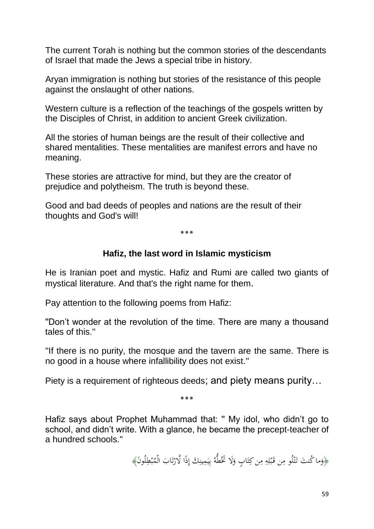The current Torah is nothing but the common stories of the descendants of Israel that made the Jews a special tribe in history.

Aryan immigration is nothing but stories of the resistance of this people against the onslaught of other nations.

Western culture is a reflection of the teachings of the gospels written by the Disciples of Christ, in addition to ancient Greek civilization.

All the stories of human beings are the result of their collective and shared mentalities. These mentalities are manifest errors and have no meaning.

These stories are attractive for mind, but they are the creator of prejudice and polytheism. The truth is beyond these.

Good and bad deeds of peoples and nations are the result of their thoughts and God's will!

٭**٭٭**

#### **Hafiz, the last word in Islamic mysticism**

He is Iranian poet and mystic. Hafiz and Rumi are called two giants of mystical literature. And that's the right name for them.

Pay attention to the following poems from Hafiz:

''Don't wonder at the revolution of the time. There are many a thousand tales of this.''

''If there is no purity, the mosque and the tavern are the same. There is no good in a house where infallibility does not exist.''

Piety is a requirement of righteous deeds; and piety means purity…

٭**٭٭**

Hafiz says about Prophet Muhammad that: '' My idol, who didn't go to school, and didn't write. With a glance, he became the precept-teacher of a hundred schools.''

> ﴿وَما كُنتَ تَتْلُو مِن قَبْلِهِ مِن كِتَابٍ وَلَا تَخُطُّهُ بِيَمِينِكَ إِذًا لَّارْتَابَ الْمُبْطِلُونَ﴾ ب ت<br>أ ت <u>ّ</u> ِ ِ ا<br>ا ي ِ<br>پ بذ َ :<br>أ ت ِ ِ ِ .<br>. ب َ ِ <u>:</u> ت َنْ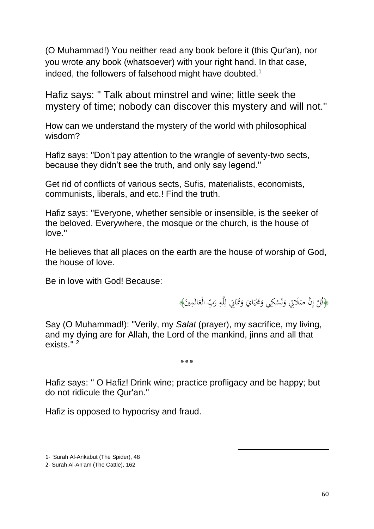(O Muhammad!) You neither read any book before it (this Qur'an), nor you wrote any book (whatsoever) with your right hand. In that case, indeed, the followers of falsehood might have doubted.<sup>1</sup>

Hafiz says: '' Talk about minstrel and wine; little seek the mystery of time; nobody can discover this mystery and will not.''

How can we understand the mystery of the world with philosophical wisdom?

Hafiz says: ''Don't pay attention to the wrangle of seventy-two sects, because they didn't see the truth, and only say legend.''

Get rid of conflicts of various sects, Sufis, materialists, economists, communists, liberals, and etc.! Find the truth.

Hafiz says: ''Everyone, whether sensible or insensible, is the seeker of the beloved. Everywhere, the mosque or the church, is the house of love.''

He believes that all places on the earth are the house of worship of God, the house of love.

Be in love with God! Because:

﴿قُلْ إِنَّ صَلَاتِي وَنُسُكِي وَمَخْيَايَ وَمَمَاتِي لِلَّهِ رَبِّ الْعَالَمِينَ﴾ َ َ ِ ڵ ُ<br>ا َ  $\ddot{\cdot}$ ا<br>ا ي َ بر<br>ن َ  $\ddot{\phantom{0}}$ ِ إ **ٔ** 

1

Say (O Muhammad!): "Verily, my *Salat* (prayer), my sacrifice, my living, and my dying are for Allah, the Lord of the mankind, jinns and all that exists."<sup>2</sup>

٭**٭٭**

Hafiz says: '' O Hafiz! Drink wine; practice profligacy and be happy; but do not ridicule the Qur'an.''

Hafiz is opposed to hypocrisy and fraud.

1- Surah Al-Ankabut (The Spider), 48

2- Surah Al-An'am (The Cattle), 162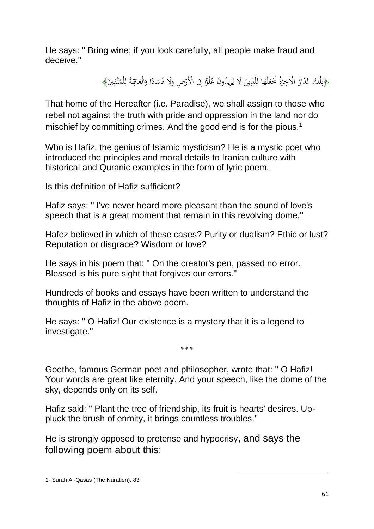He says: '' Bring wine; if you look carefully, all people make fraud and deceive.''

> ﴿تِلْكَ الدَّارُ الْآخِرَةُ بَخْعَلُهَا لِلَّذِينَ لَا يُرِيدُونَ عُلُوًّا فِي الْأَرْضِ وَلَا فَسَادًا وَالْعَاقِبَةُ لِلْمُتَّقِينَ﴾ نَا ا  $\ddot{\phantom{0}}$ َ .<br>. َ ڶ  $\triangleleft$ َ َ َ ِ.<br>پُر ِ ل  $\ddot{\cdot}$ ب ِ َ

That home of the Hereafter (i.e. Paradise), we shall assign to those who rebel not against the truth with pride and oppression in the land nor do mischief by committing crimes. And the good end is for the pious.<sup>1</sup>

Who is Hafiz, the genius of Islamic mysticism? He is a mystic poet who introduced the principles and moral details to Iranian culture with historical and Quranic examples in the form of lyric poem.

Is this definition of Hafiz sufficient?

Hafiz says: '' I've never heard more pleasant than the sound of love's speech that is a great moment that remain in this revolving dome.''

Hafez believed in which of these cases? Purity or dualism? Ethic or lust? Reputation or disgrace? Wisdom or love?

He says in his poem that: '' On the creator's pen, passed no error. Blessed is his pure sight that forgives our errors.''

Hundreds of books and essays have been written to understand the thoughts of Hafiz in the above poem.

He says: '' O Hafiz! Our existence is a mystery that it is a legend to investigate.''

Goethe, famous German poet and philosopher, wrote that: '' O Hafiz! Your words are great like eternity. And your speech, like the dome of the sky, depends only on its self.

٭**٭٭**

Hafiz said: '' Plant the tree of friendship, its fruit is hearts' desires. Uppluck the brush of enmity, it brings countless troubles.''

1

He is strongly opposed to pretense and hypocrisy, and says the following poem about this: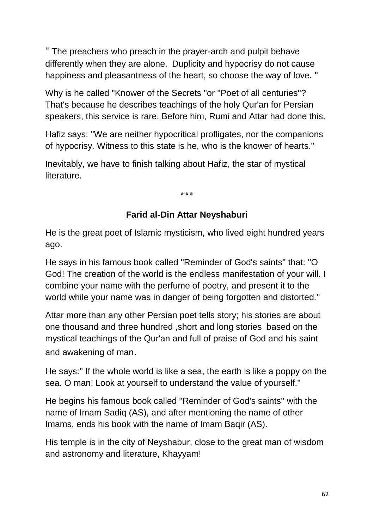'' The preachers who preach in the prayer-arch and pulpit behave differently when they are alone. Duplicity and hypocrisy do not cause happiness and pleasantness of the heart, so choose the way of love. ''

Why is he called "Knower of the Secrets "or ''Poet of all centuries''? That's because he describes teachings of the holy Qur'an for Persian speakers, this service is rare. Before him, Rumi and Attar had done this.

Hafiz says: ''We are neither hypocritical profligates, nor the companions of hypocrisy. Witness to this state is he, who is the knower of hearts.''

Inevitably, we have to finish talking about Hafiz, the star of mystical literature.

٭**٭٭**

## **Farid al-Din Attar Neyshaburi**

He is the great poet of Islamic mysticism, who lived eight hundred years ago.

He says in his famous book called ''Reminder of God's saints'' that: ''O God! The creation of the world is the endless manifestation of your will. I combine your name with the perfume of poetry, and present it to the world while your name was in danger of being forgotten and distorted.''

Attar more than any other Persian poet tells story; his stories are about one thousand and three hundred ,short and long stories based on the mystical teachings of the Qur'an and full of praise of God and his saint and awakening of man.

He says:'' If the whole world is like a sea, the earth is like a poppy on the sea. O man! Look at yourself to understand the value of yourself.''

He begins his famous book called ''Reminder of God's saints'' with the name of Imam Sadiq (AS), and after mentioning the name of other Imams, ends his book with the name of Imam Baqir (AS).

His temple is in the city of Neyshabur, close to the great man of wisdom and astronomy and literature, Khayyam!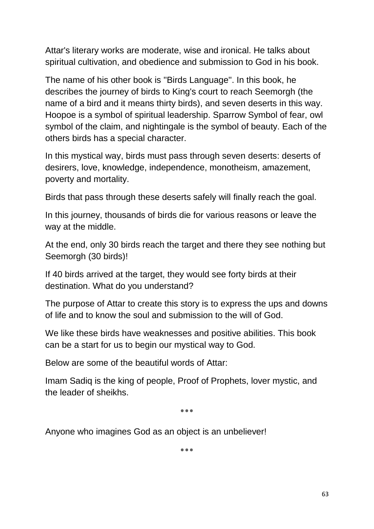Attar's literary works are moderate, wise and ironical. He talks about spiritual cultivation, and obedience and submission to God in his book.

The name of his other book is ''Birds Language''. In this book, he describes the journey of birds to King's court to reach Seemorgh (the name of a bird and it means thirty birds), and seven deserts in this way. Hoopoe is a symbol of spiritual leadership. Sparrow Symbol of fear, owl symbol of the claim, and nightingale is the symbol of beauty. Each of the others birds has a special character.

In this mystical way, birds must pass through seven deserts: deserts of desirers, love, knowledge, independence, monotheism, amazement, poverty and mortality.

Birds that pass through these deserts safely will finally reach the goal.

In this journey, thousands of birds die for various reasons or leave the way at the middle.

At the end, only 30 birds reach the target and there they see nothing but Seemorgh (30 birds)!

If 40 birds arrived at the target, they would see forty birds at their destination. What do you understand?

The purpose of Attar to create this story is to express the ups and downs of life and to know the soul and submission to the will of God.

We like these birds have weaknesses and positive abilities. This book can be a start for us to begin our mystical way to God.

Below are some of the beautiful words of Attar:

Imam Sadiq is the king of people, Proof of Prophets, lover mystic, and the leader of sheikhs.

٭**٭٭**

Anyone who imagines God as an object is an unbeliever!

٭**٭٭**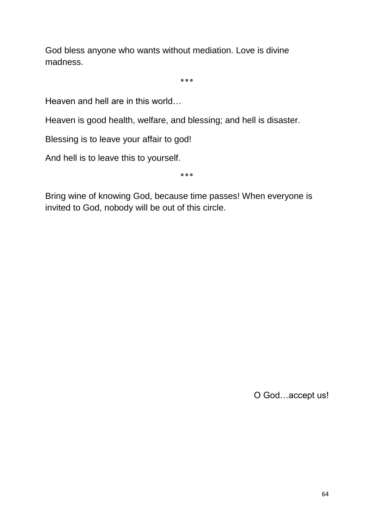God bless anyone who wants without mediation. Love is divine madness.

٭**٭٭**

Heaven and hell are in this world…

Heaven is good health, welfare, and blessing; and hell is disaster.

Blessing is to leave your affair to god!

And hell is to leave this to yourself.

٭**٭٭**

Bring wine of knowing God, because time passes! When everyone is invited to God, nobody will be out of this circle.

O God…accept us!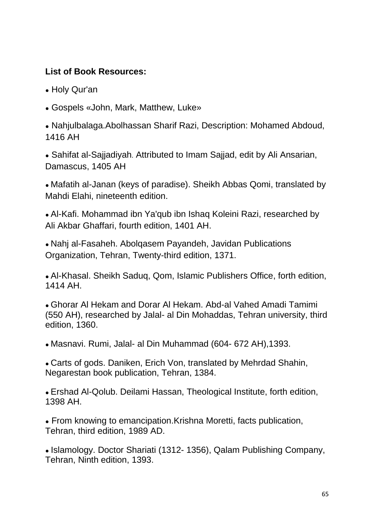# **List of Book Resources:**

- Holy Qur'an
- Gospels «John, Mark, Matthew, Luke»

• Nahjulbalaga.Abolhassan Sharif Razi, Description: Mohamed Abdoud, 1416 AH

• Sahifat al-Sajjadiyah. Attributed to Imam Sajjad, edit by Ali Ansarian, Damascus, 1405 AH

• Mafatih al-Janan (keys of paradise). Sheikh Abbas Qomi, translated by Mahdi Elahi, nineteenth edition.

• Al-Kafi. Mohammad ibn Ya'qub ibn Ishaq Koleini Razi, researched by Ali Akbar Ghaffari, fourth edition, 1401 AH.

• Nahj al-Fasaheh. Abolgasem Payandeh, Javidan Publications Organization, Tehran, Twenty-third edition, 1371.

• Al-Khasal. Sheikh Saduq, Qom, Islamic Publishers Office, forth edition, 1414 AH.

• Ghorar Al Hekam and Dorar Al Hekam. Abd-al Vahed Amadi Tamimi (550 AH), researched by Jalal- al Din Mohaddas, Tehran university, third edition, 1360.

● Masnavi. Rumi, Jalal- al Din Muhammad (604- 672 AH),1393.

• Carts of gods, Daniken, Erich Von, translated by Mehrdad Shahin, Negarestan book publication, Tehran, 1384.

• Ershad Al-Qolub. Deilami Hassan, Theological Institute, forth edition, 1398 AH.

• From knowing to emancipation. Krishna Moretti, facts publication, Tehran, third edition, 1989 AD.

• Islamology, Doctor Shariati (1312-1356), Qalam Publishing Company, Tehran, Ninth edition, 1393.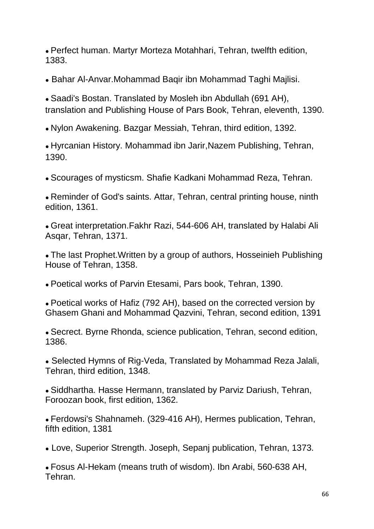• Perfect human. Martyr Morteza Motahhari, Tehran, twelfth edition, 1383.

• Bahar Al-Anvar. Mohammad Baqir ibn Mohammad Taghi Mailisi.

• Saadi's Bostan. Translated by Mosleh ibn Abdullah (691 AH), translation and Publishing House of Pars Book, Tehran, eleventh, 1390.

• Nylon Awakening. Bazgar Messiah, Tehran, third edition, 1392.

• Hyrcanian History. Mohammad ibn Jarir, Nazem Publishing, Tehran, 1390.

• Scourages of mysticsm. Shafie Kadkani Mohammad Reza, Tehran.

• Reminder of God's saints. Attar, Tehran, central printing house, ninth edition, 1361.

• Great interpretation. Fakhr Razi, 544-606 AH, translated by Halabi Ali Asqar, Tehran, 1371.

• The last Prophet. Written by a group of authors, Hosseinieh Publishing House of Tehran, 1358.

• Poetical works of Parvin Etesami, Pars book, Tehran, 1390.

• Poetical works of Hafiz (792 AH), based on the corrected version by Ghasem Ghani and Mohammad Qazvini, Tehran, second edition, 1391

• Secrect. Byrne Rhonda, science publication, Tehran, second edition, 1386.

• Selected Hymns of Rig-Veda, Translated by Mohammad Reza Jalali, Tehran, third edition, 1348.

• Siddhartha. Hasse Hermann, translated by Parviz Dariush, Tehran, Foroozan book, first edition, 1362.

• Ferdowsi's Shahnameh. (329-416 AH), Hermes publication, Tehran, fifth edition, 1381

• Love, Superior Strength. Joseph, Sepanj publication, Tehran, 1373.

• Fosus Al-Hekam (means truth of wisdom). Ibn Arabi, 560-638 AH, Tehran.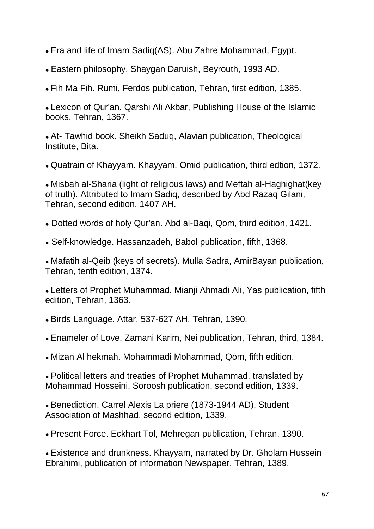- Era and life of Imam Sadiq(AS). Abu Zahre Mohammad, Egypt.
- Eastern philosophy. Shaygan Daruish, Beyrouth, 1993 AD.
- Fih Ma Fih. Rumi, Ferdos publication, Tehran, first edition, 1385.

• Lexicon of Qur'an. Qarshi Ali Akbar, Publishing House of the Islamic books, Tehran, 1367.

• At- Tawhid book. Sheikh Sadug, Alavian publication, Theological Institute, Bita.

• Quatrain of Khayyam. Khayyam, Omid publication, third edtion, 1372.

• Misbah al-Sharia (light of religious laws) and Meftah al-Haghighat(key of truth). Attributed to Imam Sadiq, described by Abd Razaq Gilani, Tehran, second edition, 1407 AH.

- Dotted words of holy Qur'an. Abd al-Bagi, Qom, third edition, 1421.
- Self-knowledge. Hassanzadeh, Babol publication, fifth, 1368.

• Mafatih al-Qeib (keys of secrets). Mulla Sadra, AmirBayan publication, Tehran, tenth edition, 1374.

• Letters of Prophet Muhammad. Mianji Ahmadi Ali, Yas publication, fifth edition, Tehran, 1363.

- Birds Language. Attar, 537-627 AH, Tehran, 1390.
- Enameler of Love. Zamani Karim, Nei publication, Tehran, third, 1384.
- Mizan AI hekmah. Mohammadi Mohammad, Qom, fifth edition.

• Political letters and treaties of Prophet Muhammad, translated by Mohammad Hosseini, Soroosh publication, second edition, 1339.

• Benediction. Carrel Alexis La priere (1873-1944 AD), Student Association of Mashhad, second edition, 1339.

• Present Force. Eckhart Tol, Mehregan publication, Tehran, 1390.

• Existence and drunkness. Khayyam, narrated by Dr. Gholam Hussein Ebrahimi, publication of information Newspaper, Tehran, 1389.